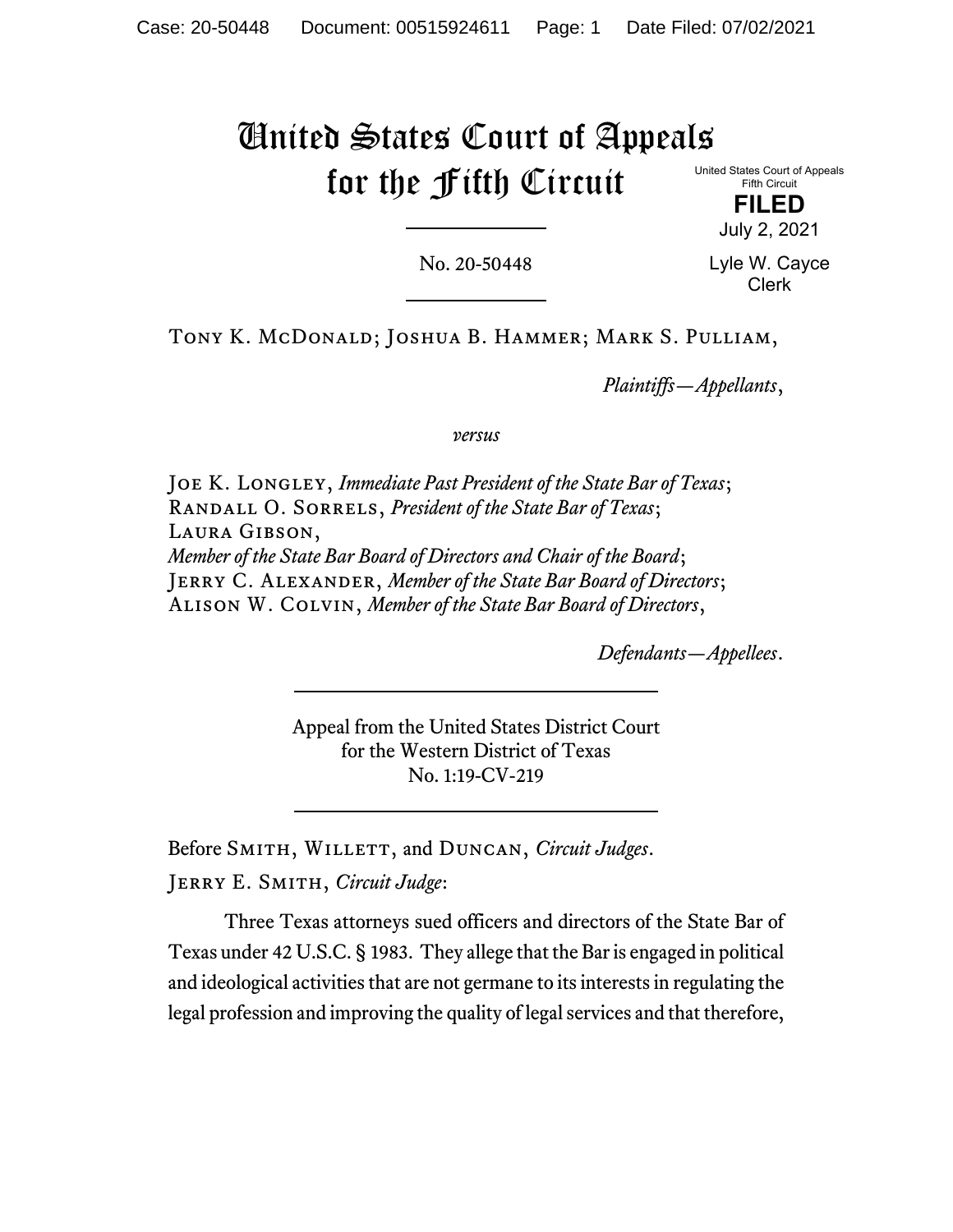# United States Court of Appeals for the Fifth Circuit

United States Court of Appeals Fifth Circuit

> **FILED** July 2, 2021

No. 20-50448

Lyle W. Cayce Clerk

Tony K. McDonald; Joshua B. Hammer; Mark S. Pulliam,

*Plaintiffs—Appellants*,

*versus*

Joe K. Longley, *Immediate Past President of the State Bar of Texas*; Randall O. Sorrels, *President of the State Bar of Texas*; Laura Gibson, *Member of the State Bar Board of Directors and Chair of the Board*; Jerry C. Alexander, *Member of the State Bar Board of Directors*; Alison W. Colvin, *Member of the State Bar Board of Directors*,

*Defendants—Appellees*.

Appeal from the United States District Court for the Western District of Texas No. 1:19-CV-219

Before SMITH, WILLETT, and DUNCAN, *Circuit Judges*. Jerry E. Smith, *Circuit Judge*:

Three Texas attorneys sued officers and directors of the State Bar of Texas under 42 U.S.C. § 1983. They allege that the Bar is engaged in political and ideological activities that are not germane to its interests in regulating the legal profession and improving the quality of legal services and that therefore,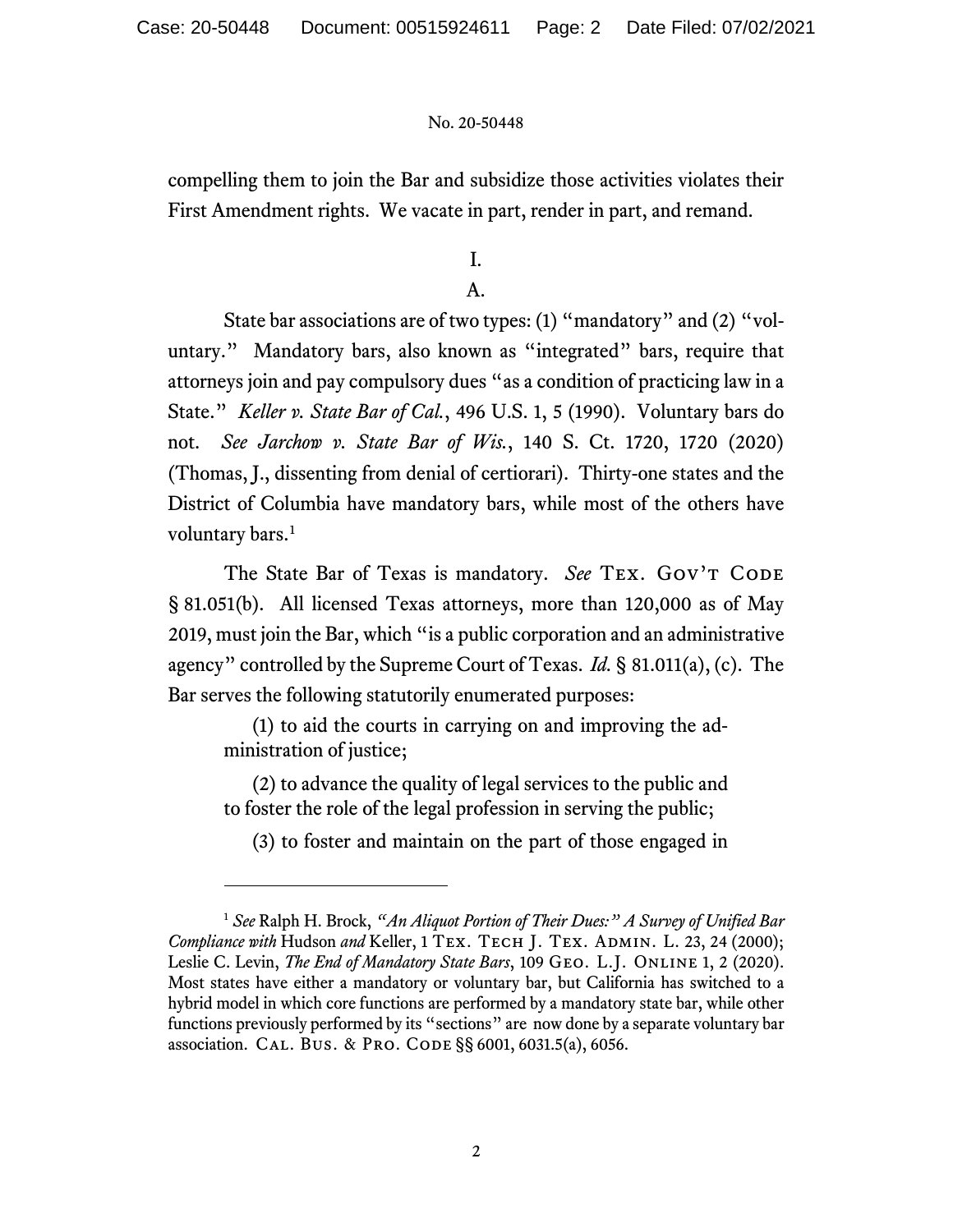compelling them to join the Bar and subsidize those activities violates their First Amendment rights. We vacate in part, render in part, and remand.

I.

A.

State bar associations are of two types: (1) "mandatory" and (2) "voluntary." Mandatory bars, also known as "integrated" bars, require that attorneys join and pay compulsory dues "as a condition of practicing law in a State." *Keller v. State Bar of Cal.*, 496 U.S. 1, 5 (1990). Voluntary bars do not. *See Jarchow v. State Bar of Wis.*, 140 S. Ct. 1720, 1720 (2020) (Thomas, J., dissenting from denial of certiorari). Thirty-one states and the District of Columbia have mandatory bars, while most of the others have voluntary bars. [1](#page-32-0)

The State Bar of Texas is mandatory. *See* TEX. GOV'T CODE § 81.051(b). All licensed Texas attorneys, more than 120,000 as of May 2019, must join the Bar, which "is a public corporation and an administrative agency" controlled by the Supreme Court of Texas. *Id.* § 81.011(a), (c). The Bar serves the following statutorily enumerated purposes:

(1) to aid the courts in carrying on and improving the administration of justice;

(2) to advance the quality of legal services to the public and to foster the role of the legal profession in serving the public;

(3) to foster and maintain on the part of those engaged in

<sup>1</sup> *See* Ralph H. Brock, *"An Aliquot Portion of Their Dues:" A Survey of Unified Bar Compliance with Hudson and Keller, 1 TEX. TECH J. TEX. ADMIN. L. 23, 24 (2000);* Leslie C. Levin, *The End of Mandatory State Bars*, 109 GEO. L.J. ONLINE 1, 2 (2020). Most states have either a mandatory or voluntary bar, but California has switched to a hybrid model in which core functions are performed by a mandatory state bar, while other functions previously performed by its "sections" are now done by a separate voluntary bar association. CAL. BUS. & PRO. CODE §§ 6001, 6031.5(a), 6056.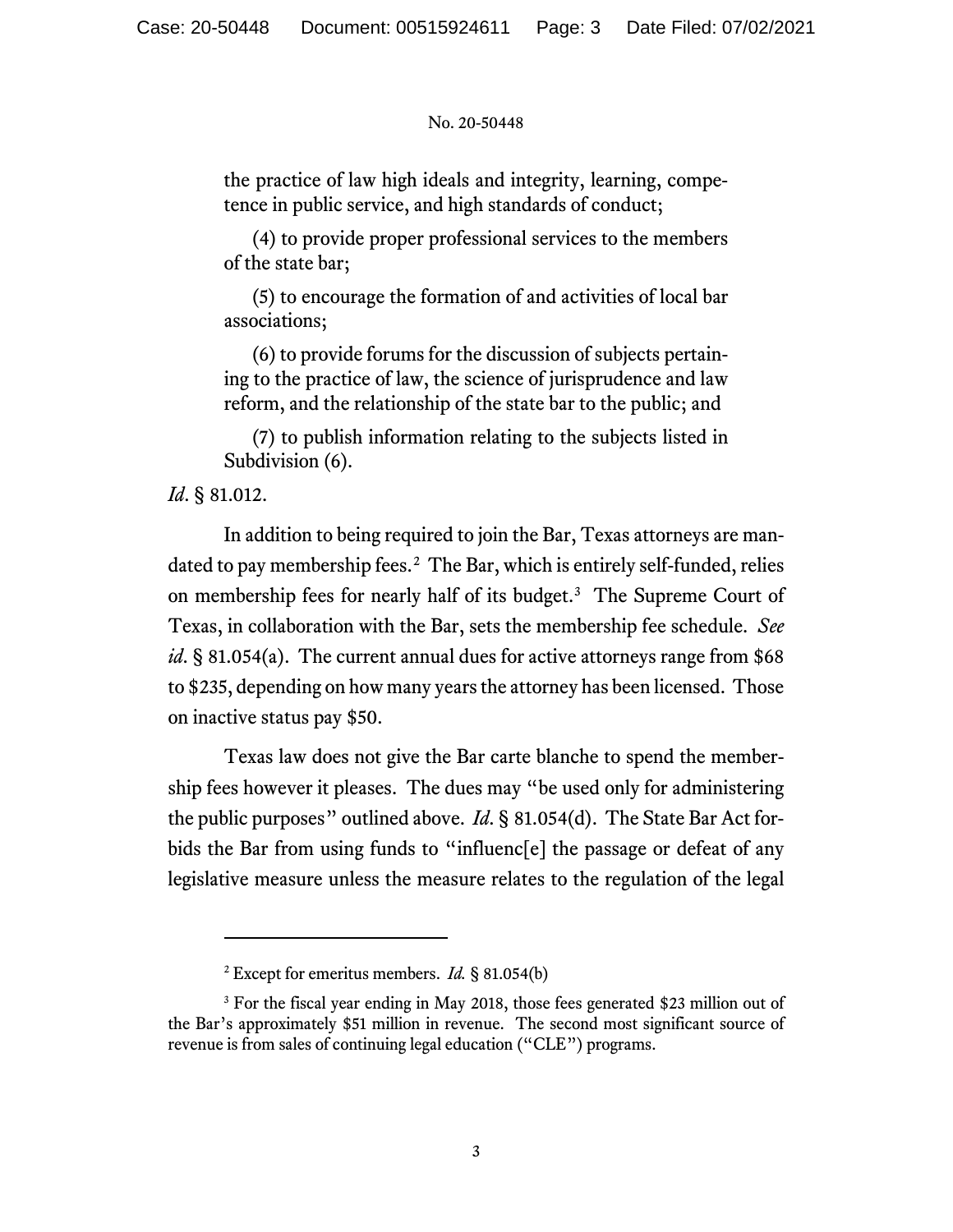the practice of law high ideals and integrity, learning, competence in public service, and high standards of conduct;

(4) to provide proper professional services to the members of the state bar;

(5) to encourage the formation of and activities of local bar associations;

(6) to provide forums for the discussion of subjects pertaining to the practice of law, the science of jurisprudence and law reform, and the relationship of the state bar to the public; and

(7) to publish information relating to the subjects listed in Subdivision (6).

# *Id*. § 81.012.

In addition to being required to join the Bar, Texas attorneys are man-dated to pay membership fees.<sup>[2](#page-32-0)</sup> The Bar, which is entirely self-funded, relies on membership fees for nearly half of its budget. [3](#page-32-0) The Supreme Court of Texas, in collaboration with the Bar, sets the membership fee schedule. *See id*. § 81.054(a). The current annual dues for active attorneys range from \$68 to \$235, depending on how many years the attorney has been licensed. Those on inactive status pay \$50.

Texas law does not give the Bar carte blanche to spend the membership fees however it pleases. The dues may "be used only for administering the public purposes" outlined above. *Id*. § 81.054(d). The State Bar Act forbids the Bar from using funds to "influenc[e] the passage or defeat of any legislative measure unless the measure relates to the regulation of the legal

<sup>2</sup> Except for emeritus members. *Id.* § 81.054(b)

<sup>&</sup>lt;sup>3</sup> For the fiscal year ending in May 2018, those fees generated \$23 million out of the Bar's approximately \$51 million in revenue. The second most significant source of revenue is from sales of continuing legal education ("CLE") programs.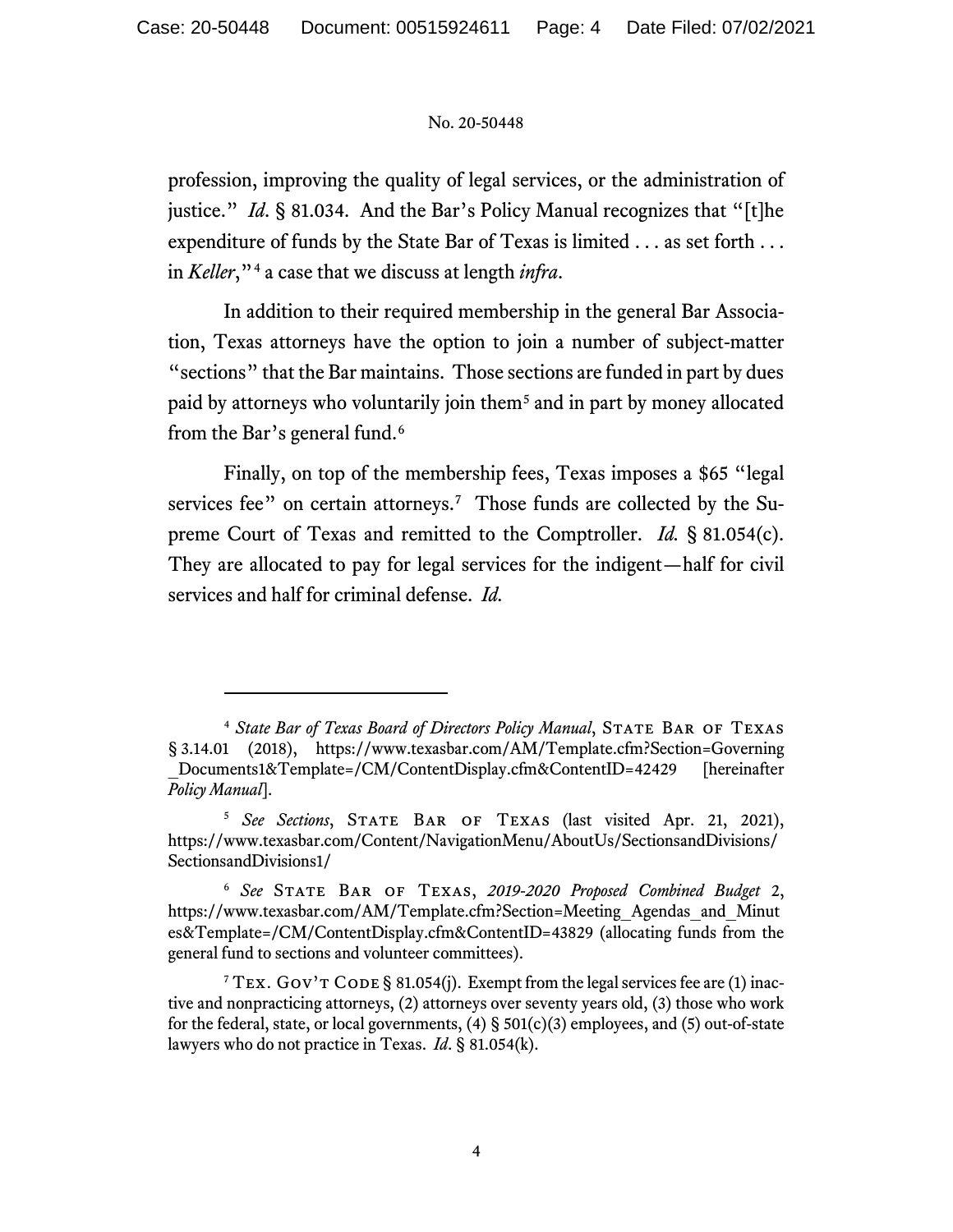profession, improving the quality of legal services, or the administration of justice." *Id*. § 81.034. And the Bar's Policy Manual recognizes that "[t]he expenditure of funds by the State Bar of Texas is limited . . . as set forth . . . in *Keller*,"[4](#page-32-0) a case that we discuss at length *infra*.

In addition to their required membership in the general Bar Association, Texas attorneys have the option to join a number of subject-matter "sections" that the Bar maintains. Those sections are funded in part by dues paid by attorneys who voluntarily join them[5](#page-32-0) and in part by money allocated from the Bar's general fund.<sup>[6](#page-32-0)</sup>

Finally, on top of the membership fees, Texas imposes a \$65 "legal" services fee" on certain attorneys.<sup>[7](#page-32-0)</sup> Those funds are collected by the Supreme Court of Texas and remitted to the Comptroller. *Id.* § 81.054(c). They are allocated to pay for legal services for the indigent—half for civil services and half for criminal defense. *Id.*

<sup>&</sup>lt;sup>4</sup> State Bar of Texas Board of Directors Policy Manual, STATE BAR OF TEXAS § 3.14.01 (2018), https://www.texasbar.com/AM/Template.cfm?Section=Governing \_Documents1&Template=/CM/ContentDisplay.cfm&ContentID=42429 [hereinafter *Policy Manual*].

<sup>&</sup>lt;sup>5</sup> See Sections, STATE BAR OF TEXAS (last visited Apr. 21, 2021), https://www.texasbar.com/Content/NavigationMenu/AboutUs/SectionsandDivisions/ SectionsandDivisions1/

<sup>6</sup> *See* State Bar of Texas, *2019-2020 Proposed Combined Budget* 2, https://www.texasbar.com/AM/Template.cfm?Section=Meeting\_Agendas\_and\_Minut es&Template=/CM/ContentDisplay.cfm&ContentID=43829 (allocating funds from the general fund to sections and volunteer committees).

<sup>&</sup>lt;sup>7</sup> TEX. GOV'T CODE § 81.054(j). Exempt from the legal services fee are (1) inactive and nonpracticing attorneys, (2) attorneys over seventy years old, (3) those who work for the federal, state, or local governments,  $(4)$  § 501(c)(3) employees, and (5) out-of-state lawyers who do not practice in Texas. *Id*. § 81.054(k).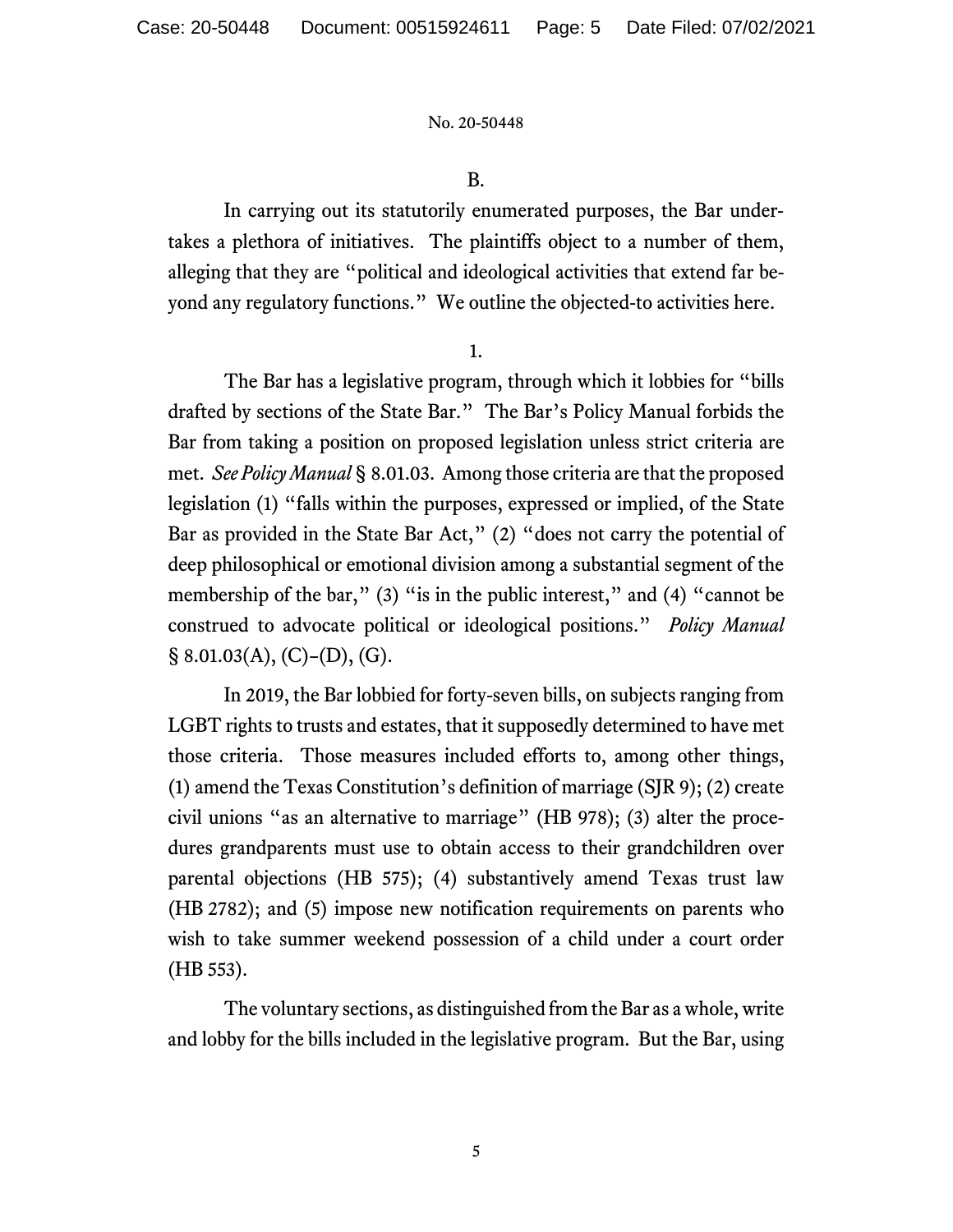#### B.

In carrying out its statutorily enumerated purposes, the Bar undertakes a plethora of initiatives. The plaintiffs object to a number of them, alleging that they are "political and ideological activities that extend far beyond any regulatory functions." We outline the objected-to activities here.

1.

The Bar has a legislative program, through which it lobbies for "bills drafted by sections of the State Bar." The Bar's Policy Manual forbids the Bar from taking a position on proposed legislation unless strict criteria are met. *See Policy Manual* § 8.01.03. Among those criteria are that the proposed legislation (1) "falls within the purposes, expressed or implied, of the State Bar as provided in the State Bar Act," (2) "does not carry the potential of deep philosophical or emotional division among a substantial segment of the membership of the bar," (3) "is in the public interest," and (4) "cannot be construed to advocate political or ideological positions." *Policy Manual*   $\S$  8.01.03(A), (C)-(D), (G).

In 2019, the Bar lobbied for forty-seven bills, on subjects ranging from LGBT rights to trusts and estates, that it supposedly determined to have met those criteria. Those measures included efforts to, among other things, (1) amend the Texas Constitution's definition of marriage (SJR 9); (2) create civil unions "as an alternative to marriage" (HB 978); (3) alter the procedures grandparents must use to obtain access to their grandchildren over parental objections (HB 575); (4) substantively amend Texas trust law (HB 2782); and (5) impose new notification requirements on parents who wish to take summer weekend possession of a child under a court order (HB 553).

The voluntary sections, as distinguished from the Bar as a whole, write and lobby for the bills included in the legislative program. But the Bar, using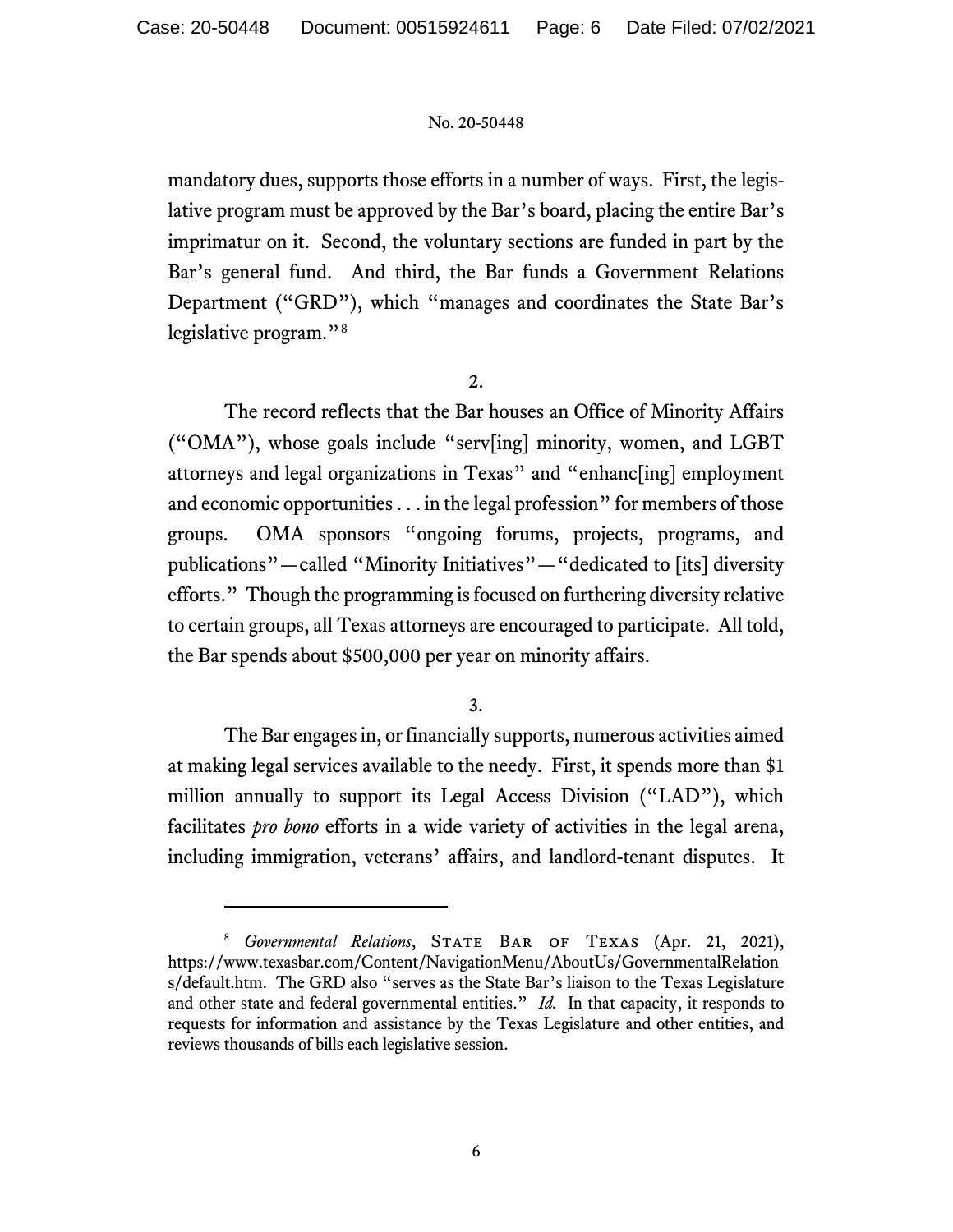mandatory dues, supports those efforts in a number of ways. First, the legislative program must be approved by the Bar's board, placing the entire Bar's imprimatur on it. Second, the voluntary sections are funded in part by the Bar's general fund. And third, the Bar funds a Government Relations Department ("GRD"), which "manages and coordinates the State Bar's legislative program."<sup>[8](#page-32-0)</sup>

2.

The record reflects that the Bar houses an Office of Minority Affairs ("OMA"), whose goals include "serv[ing] minority, women, and LGBT attorneys and legal organizations in Texas" and "enhanc[ing] employment and economic opportunities . . . in the legal profession" for members of those groups. OMA sponsors "ongoing forums, projects, programs, and publications"—called "Minority Initiatives"—"dedicated to [its] diversity efforts." Though the programming is focused on furthering diversity relative to certain groups, all Texas attorneys are encouraged to participate. All told, the Bar spends about \$500,000 per year on minority affairs.

# 3.

The Bar engages in, or financially supports, numerous activities aimed at making legal services available to the needy. First, it spends more than \$1 million annually to support its Legal Access Division ("LAD"), which facilitates *pro bono* efforts in a wide variety of activities in the legal arena, including immigration, veterans' affairs, and landlord-tenant disputes. It

<sup>&</sup>lt;sup>8</sup> *Governmental Relations*, STATE BAR OF TEXAS (Apr. 21, 2021), https://www.texasbar.com/Content/NavigationMenu/AboutUs/GovernmentalRelation s/default.htm. The GRD also "serves as the State Bar's liaison to the Texas Legislature and other state and federal governmental entities." *Id.* In that capacity, it responds to requests for information and assistance by the Texas Legislature and other entities, and reviews thousands of bills each legislative session.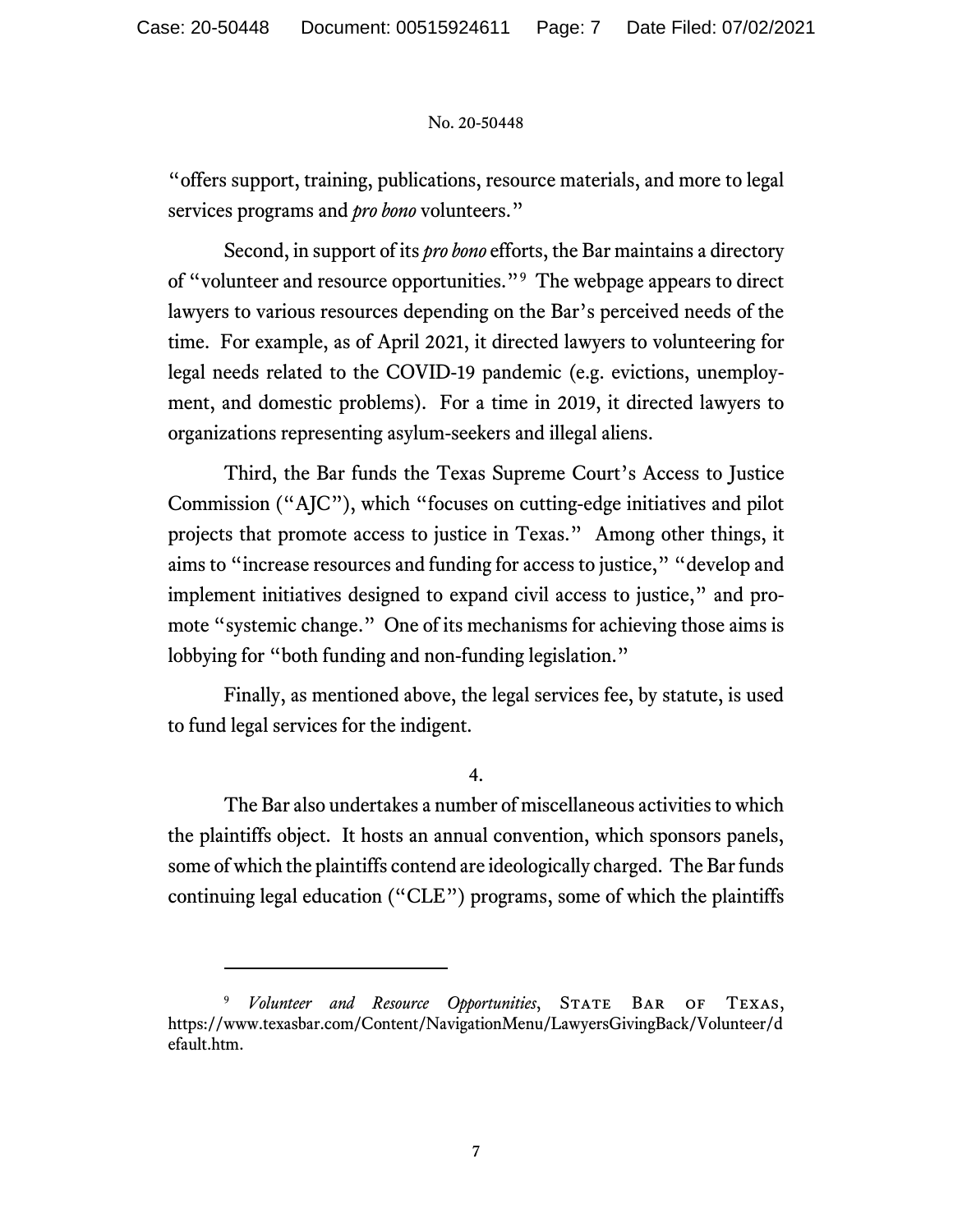"offers support, training, publications, resource materials, and more to legal services programs and *pro bono* volunteers."

Second, in support of its *pro bono* efforts, the Bar maintains a directory of "volunteer and resource opportunities."[9](#page-32-0) The webpage appears to direct lawyers to various resources depending on the Bar's perceived needs of the time. For example, as of April 2021, it directed lawyers to volunteering for legal needs related to the COVID-19 pandemic (e.g. evictions, unemployment, and domestic problems). For a time in 2019, it directed lawyers to organizations representing asylum-seekers and illegal aliens.

Third, the Bar funds the Texas Supreme Court's Access to Justice Commission ("AJC"), which "focuses on cutting-edge initiatives and pilot projects that promote access to justice in Texas." Among other things, it aims to "increase resources and funding for access to justice," "develop and implement initiatives designed to expand civil access to justice," and promote "systemic change." One of its mechanisms for achieving those aims is lobbying for "both funding and non-funding legislation."

Finally, as mentioned above, the legal services fee, by statute, is used to fund legal services for the indigent.

4.

The Bar also undertakes a number of miscellaneous activities to which the plaintiffs object. It hosts an annual convention, which sponsors panels, some of which the plaintiffs contend are ideologically charged. The Bar funds continuing legal education ("CLE") programs, some of which the plaintiffs

*Volunteer and Resource Opportunities*, STATE BAR OF TEXAS, https://www.texasbar.com/Content/NavigationMenu/LawyersGivingBack/Volunteer/d efault.htm.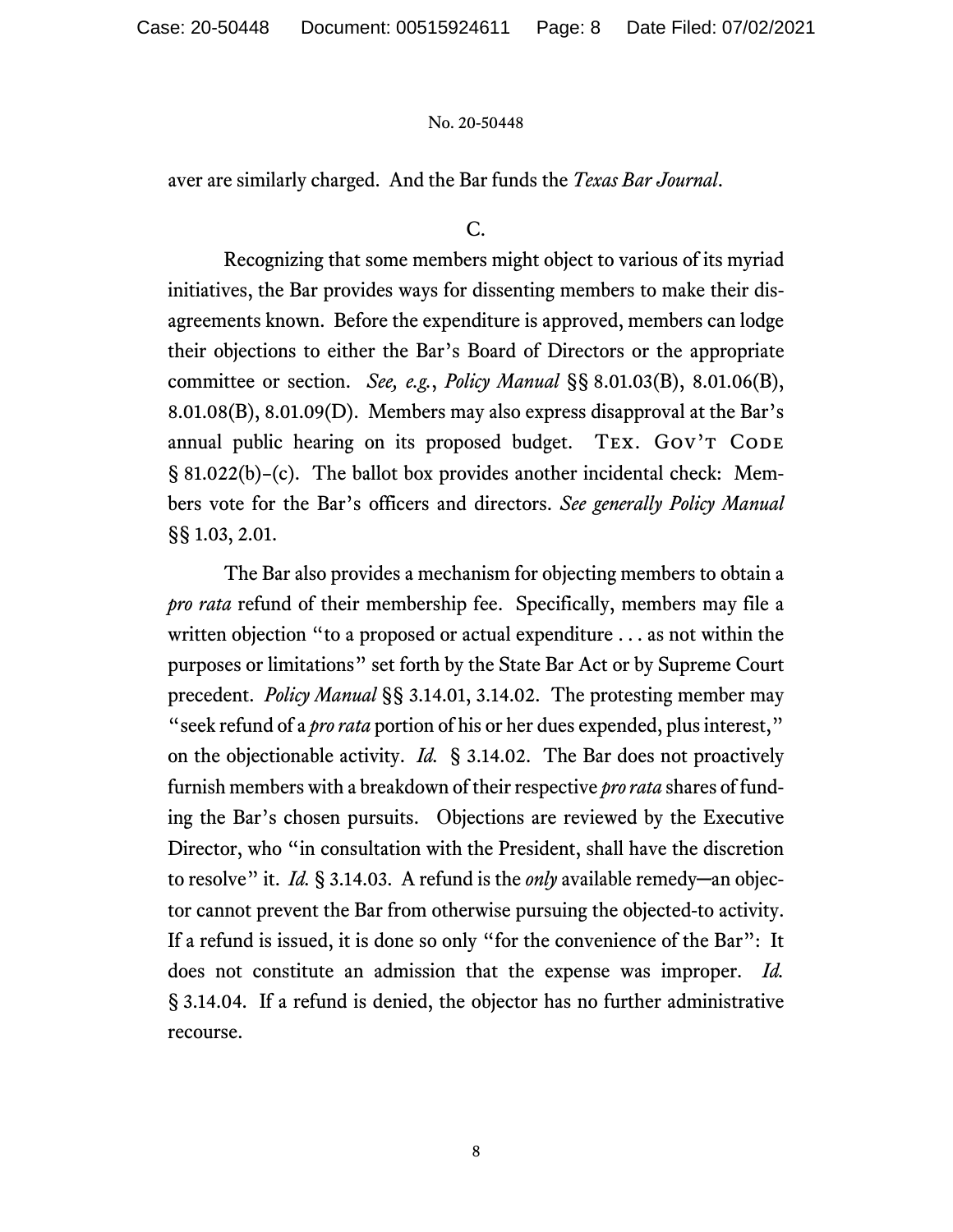aver are similarly charged. And the Bar funds the *Texas Bar Journal*.

# C.

Recognizing that some members might object to various of its myriad initiatives, the Bar provides ways for dissenting members to make their disagreements known. Before the expenditure is approved, members can lodge their objections to either the Bar's Board of Directors or the appropriate committee or section. *See, e.g.*, *Policy Manual* §§ 8.01.03(B), 8.01.06(B), 8.01.08(B), 8.01.09(D). Members may also express disapproval at the Bar's annual public hearing on its proposed budget. TEX. GOV'T CODE § 81.022(b)–(c). The ballot box provides another incidental check: Members vote for the Bar's officers and directors. *See generally Policy Manual*  §§ 1.03, 2.01.

The Bar also provides a mechanism for objecting members to obtain a *pro rata* refund of their membership fee. Specifically, members may file a written objection "to a proposed or actual expenditure . . . as not within the purposes or limitations" set forth by the State Bar Act or by Supreme Court precedent. *Policy Manual* §§ 3.14.01, 3.14.02. The protesting member may "seek refund of a *pro rata* portion of his or her dues expended, plus interest," on the objectionable activity. *Id.* § 3.14.02. The Bar does not proactively furnish members with a breakdown of their respective *pro rata* shares of funding the Bar's chosen pursuits. Objections are reviewed by the Executive Director, who "in consultation with the President, shall have the discretion to resolve" it. *Id.* § 3.14.03. A refund is the *only* available remedy─an objector cannot prevent the Bar from otherwise pursuing the objected-to activity. If a refund is issued, it is done so only "for the convenience of the Bar": It does not constitute an admission that the expense was improper. *Id.* § 3.14.04. If a refund is denied, the objector has no further administrative recourse.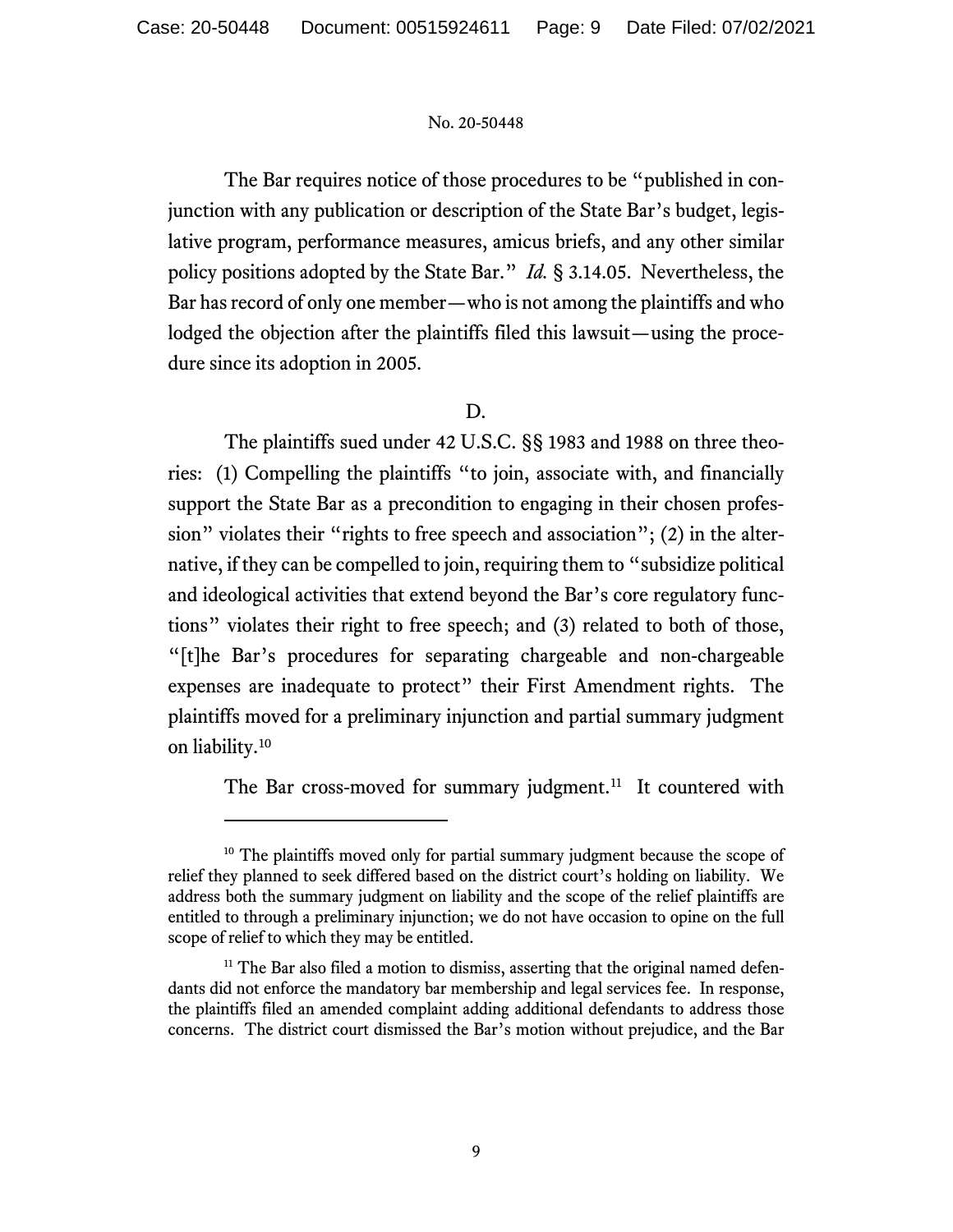The Bar requires notice of those procedures to be "published in conjunction with any publication or description of the State Bar's budget, legislative program, performance measures, amicus briefs, and any other similar policy positions adopted by the State Bar." *Id.* § 3.14.05. Nevertheless, the Bar has record of only one member—who is not among the plaintiffs and who lodged the objection after the plaintiffs filed this lawsuit—using the procedure since its adoption in 2005.

# D.

The plaintiffs sued under 42 U.S.C. §§ 1983 and 1988 on three theories: (1) Compelling the plaintiffs "to join, associate with, and financially support the State Bar as a precondition to engaging in their chosen profession" violates their "rights to free speech and association"; (2) in the alternative, if they can be compelled to join, requiring them to "subsidize political and ideological activities that extend beyond the Bar's core regulatory functions" violates their right to free speech; and (3) related to both of those, "[t]he Bar's procedures for separating chargeable and non-chargeable expenses are inadequate to protect" their First Amendment rights. The plaintiffs moved for a preliminary injunction and partial summary judgment on liability[.10](#page-32-0)

The Bar cross-moved for summary judgment.<sup>[11](#page-32-0)</sup> It countered with

<sup>&</sup>lt;sup>10</sup> The plaintiffs moved only for partial summary judgment because the scope of relief they planned to seek differed based on the district court's holding on liability. We address both the summary judgment on liability and the scope of the relief plaintiffs are entitled to through a preliminary injunction; we do not have occasion to opine on the full scope of relief to which they may be entitled.

 $11$  The Bar also filed a motion to dismiss, asserting that the original named defendants did not enforce the mandatory bar membership and legal services fee. In response, the plaintiffs filed an amended complaint adding additional defendants to address those concerns. The district court dismissed the Bar's motion without prejudice, and the Bar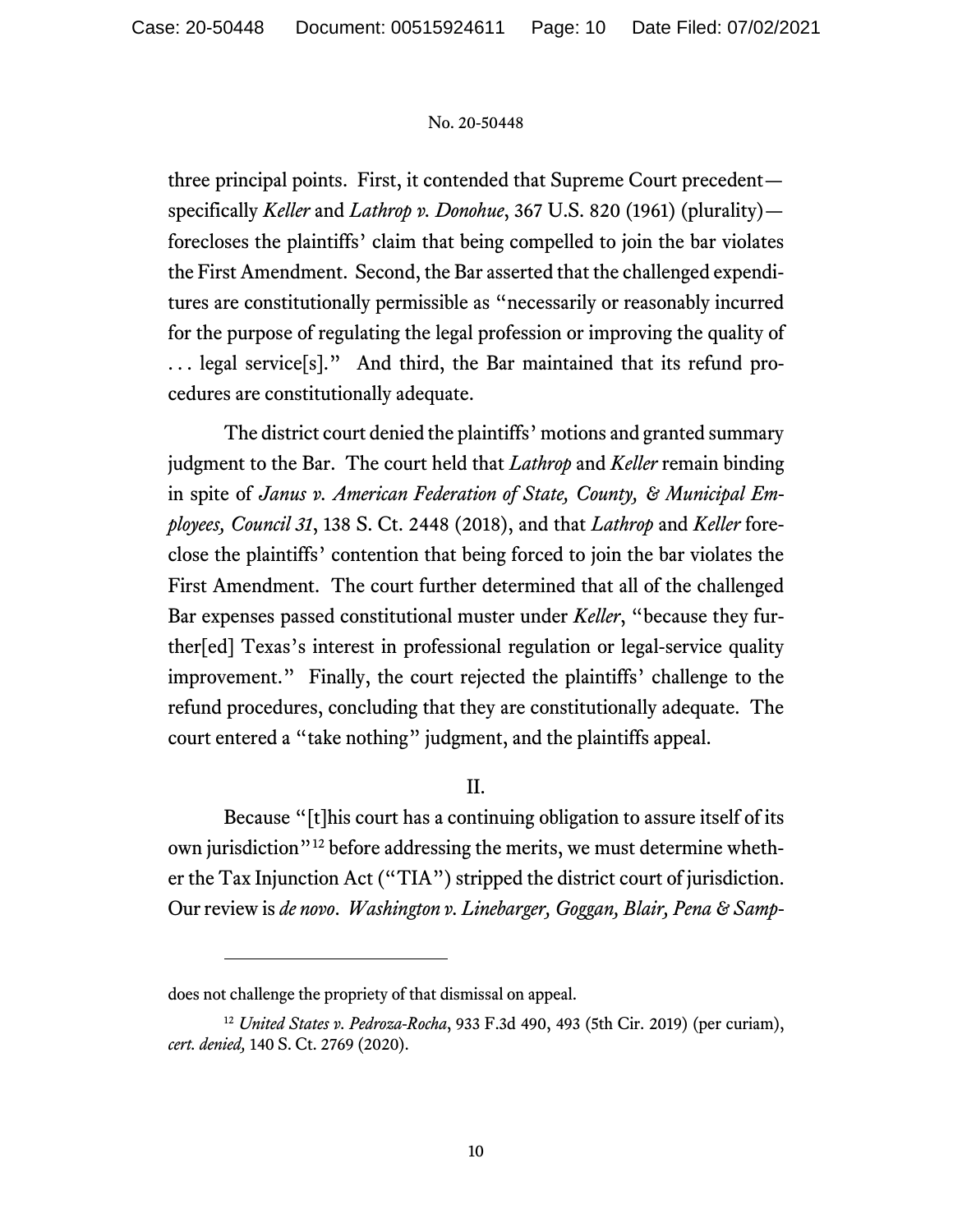three principal points. First, it contended that Supreme Court precedent specifically *Keller* and *Lathrop v. Donohue*, 367 U.S. 820 (1961) (plurality) forecloses the plaintiffs' claim that being compelled to join the bar violates the First Amendment. Second, the Bar asserted that the challenged expenditures are constitutionally permissible as "necessarily or reasonably incurred for the purpose of regulating the legal profession or improving the quality of . . . legal service[s]." And third, the Bar maintained that its refund procedures are constitutionally adequate.

The district court denied the plaintiffs' motions and granted summary judgment to the Bar. The court held that *Lathrop* and *Keller* remain binding in spite of *Janus v. American Federation of State, County, & Municipal Employees, Council 31*, 138 S. Ct. 2448 (2018), and that *Lathrop* and *Keller* foreclose the plaintiffs' contention that being forced to join the bar violates the First Amendment. The court further determined that all of the challenged Bar expenses passed constitutional muster under *Keller*, "because they further[ed] Texas's interest in professional regulation or legal-service quality improvement." Finally, the court rejected the plaintiffs' challenge to the refund procedures, concluding that they are constitutionally adequate. The court entered a "take nothing" judgment, and the plaintiffs appeal.

# II.

Because "[t]his court has a continuing obligation to assure itself of its own jurisdiction"[12](#page-32-0) before addressing the merits, we must determine whether the Tax Injunction Act ("TIA") stripped the district court of jurisdiction. Our review is *de novo*. *Washington v. Linebarger, Goggan, Blair, Pena & Samp-*

does not challenge the propriety of that dismissal on appeal.

<sup>12</sup> *United States v. Pedroza-Rocha*, 933 F.3d 490, 493 (5th Cir. 2019) (per curiam), *cert. denied,* 140 S. Ct. 2769 (2020).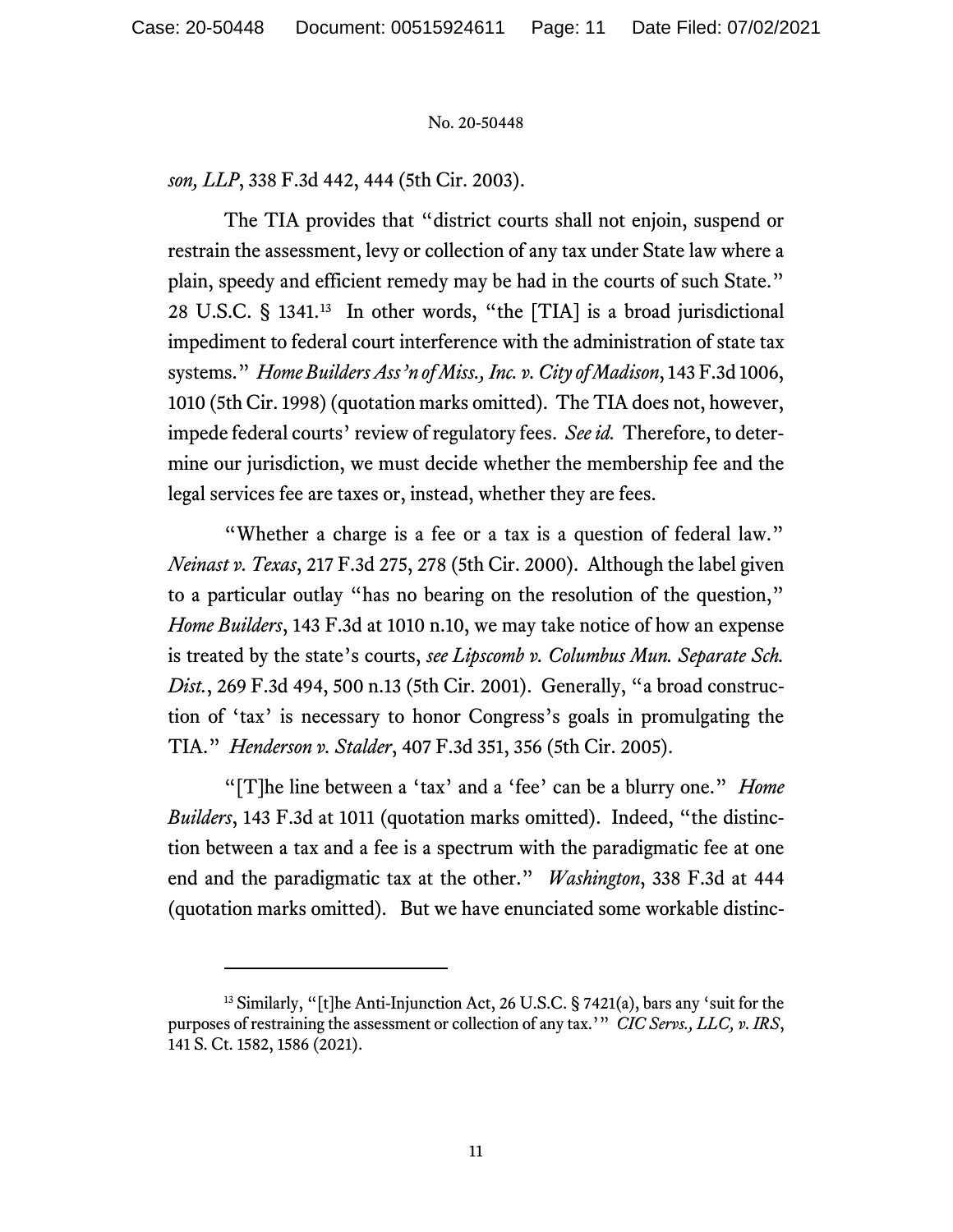*son, LLP*, 338 F.3d 442, 444 (5th Cir. 2003).

The TIA provides that "district courts shall not enjoin, suspend or restrain the assessment, levy or collection of any tax under State law where a plain, speedy and efficient remedy may be had in the courts of such State." 28 U.S.C. § 1341.[13](#page-32-0) In other words, "the [TIA] is a broad jurisdictional impediment to federal court interference with the administration of state tax systems." *Home Builders Ass'n of Miss., Inc. v. City of Madison*, 143 F.3d 1006, 1010 (5th Cir. 1998) (quotation marks omitted). The TIA does not, however, impede federal courts' review of regulatory fees. *See id.* Therefore, to determine our jurisdiction, we must decide whether the membership fee and the legal services fee are taxes or, instead, whether they are fees.

"Whether a charge is a fee or a tax is a question of federal law." *Neinast v. Texas*, 217 F.3d 275, 278 (5th Cir. 2000). Although the label given to a particular outlay "has no bearing on the resolution of the question," *Home Builders*, 143 F.3d at 1010 n.10, we may take notice of how an expense is treated by the state's courts, *see Lipscomb v. Columbus Mun. Separate Sch. Dist.*, 269 F.3d 494, 500 n.13 (5th Cir. 2001). Generally, "a broad construction of 'tax' is necessary to honor Congress's goals in promulgating the TIA." *Henderson v. Stalder*, 407 F.3d 351, 356 (5th Cir. 2005).

"[T]he line between a 'tax' and a 'fee' can be a blurry one." *Home Builders*, 143 F.3d at 1011 (quotation marks omitted). Indeed, "the distinction between a tax and a fee is a spectrum with the paradigmatic fee at one end and the paradigmatic tax at the other." *Washington*, 338 F.3d at 444 (quotation marks omitted). But we have enunciated some workable distinc-

<sup>&</sup>lt;sup>13</sup> Similarly, "[t]he Anti-Injunction Act, 26 U.S.C. § 7421(a), bars any 'suit for the purposes of restraining the assessment or collection of any tax.'" *CIC Servs., LLC, v. IRS*, 141 S. Ct. 1582, 1586 (2021).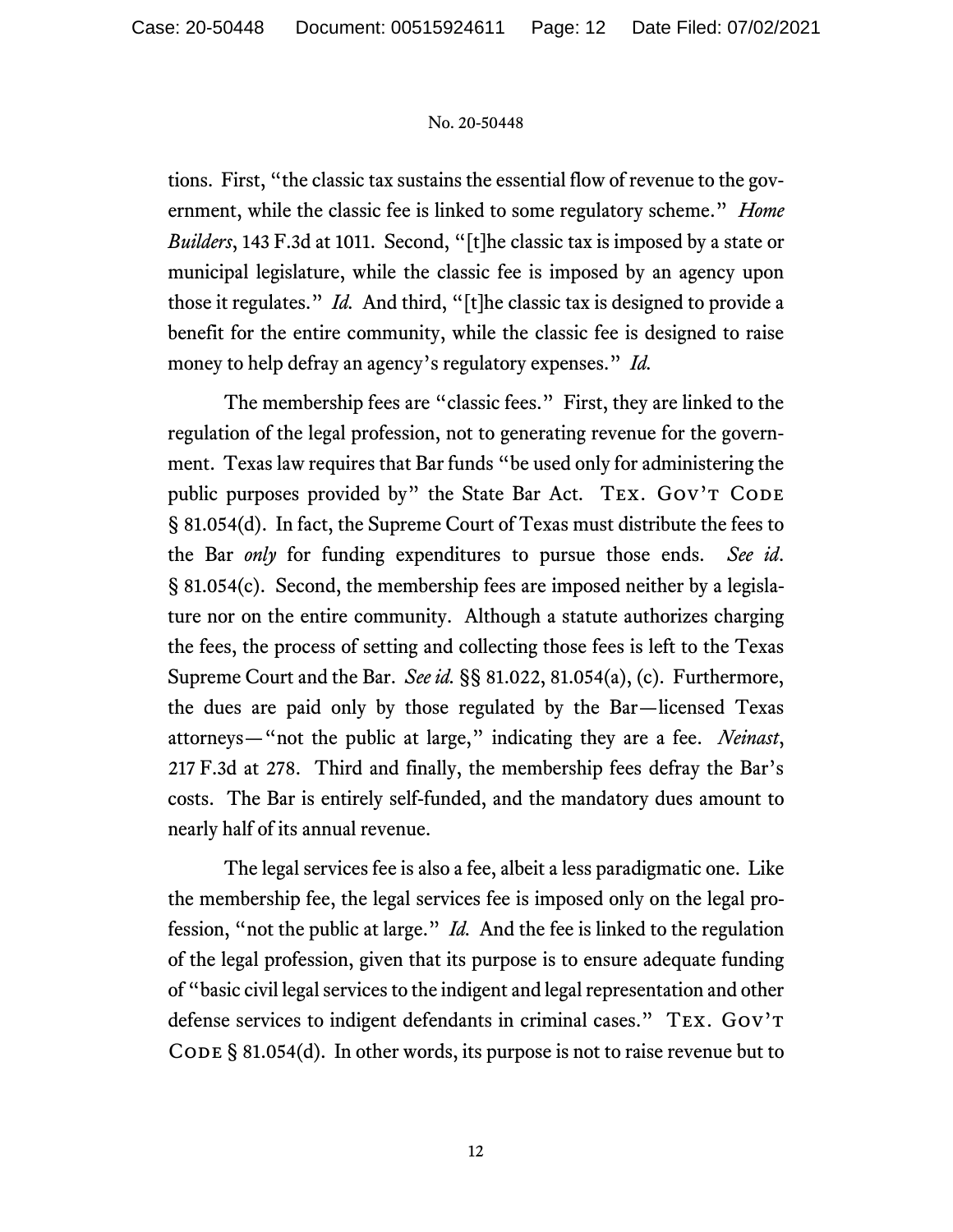tions. First, "the classic tax sustains the essential flow of revenue to the government, while the classic fee is linked to some regulatory scheme." *Home Builders*, 143 F.3d at 1011. Second, "[t]he classic tax is imposed by a state or municipal legislature, while the classic fee is imposed by an agency upon those it regulates." *Id.* And third, "[t]he classic tax is designed to provide a benefit for the entire community, while the classic fee is designed to raise money to help defray an agency's regulatory expenses." *Id.*

The membership fees are "classic fees." First, they are linked to the regulation of the legal profession, not to generating revenue for the government. Texas law requires that Bar funds "be used only for administering the public purposes provided by" the State Bar Act.  $T_{\text{EX}}$ . Gov't CODE § 81.054(d). In fact, the Supreme Court of Texas must distribute the fees to the Bar *only* for funding expenditures to pursue those ends. *See id*. § 81.054(c). Second, the membership fees are imposed neither by a legislature nor on the entire community. Although a statute authorizes charging the fees, the process of setting and collecting those fees is left to the Texas Supreme Court and the Bar. *See id.* §§ 81.022, 81.054(a), (c). Furthermore, the dues are paid only by those regulated by the Bar—licensed Texas attorneys—"not the public at large," indicating they are a fee. *Neinast*, 217 F.3d at 278. Third and finally, the membership fees defray the Bar's costs. The Bar is entirely self-funded, and the mandatory dues amount to nearly half of its annual revenue.

The legal services fee is also a fee, albeit a less paradigmatic one. Like the membership fee, the legal services fee is imposed only on the legal profession, "not the public at large." *Id.* And the fee is linked to the regulation of the legal profession, given that its purpose is to ensure adequate funding of "basic civil legal services to the indigent and legal representation and other defense services to indigent defendants in criminal cases." Tex. Gov't CODE  $\S$  81.054(d). In other words, its purpose is not to raise revenue but to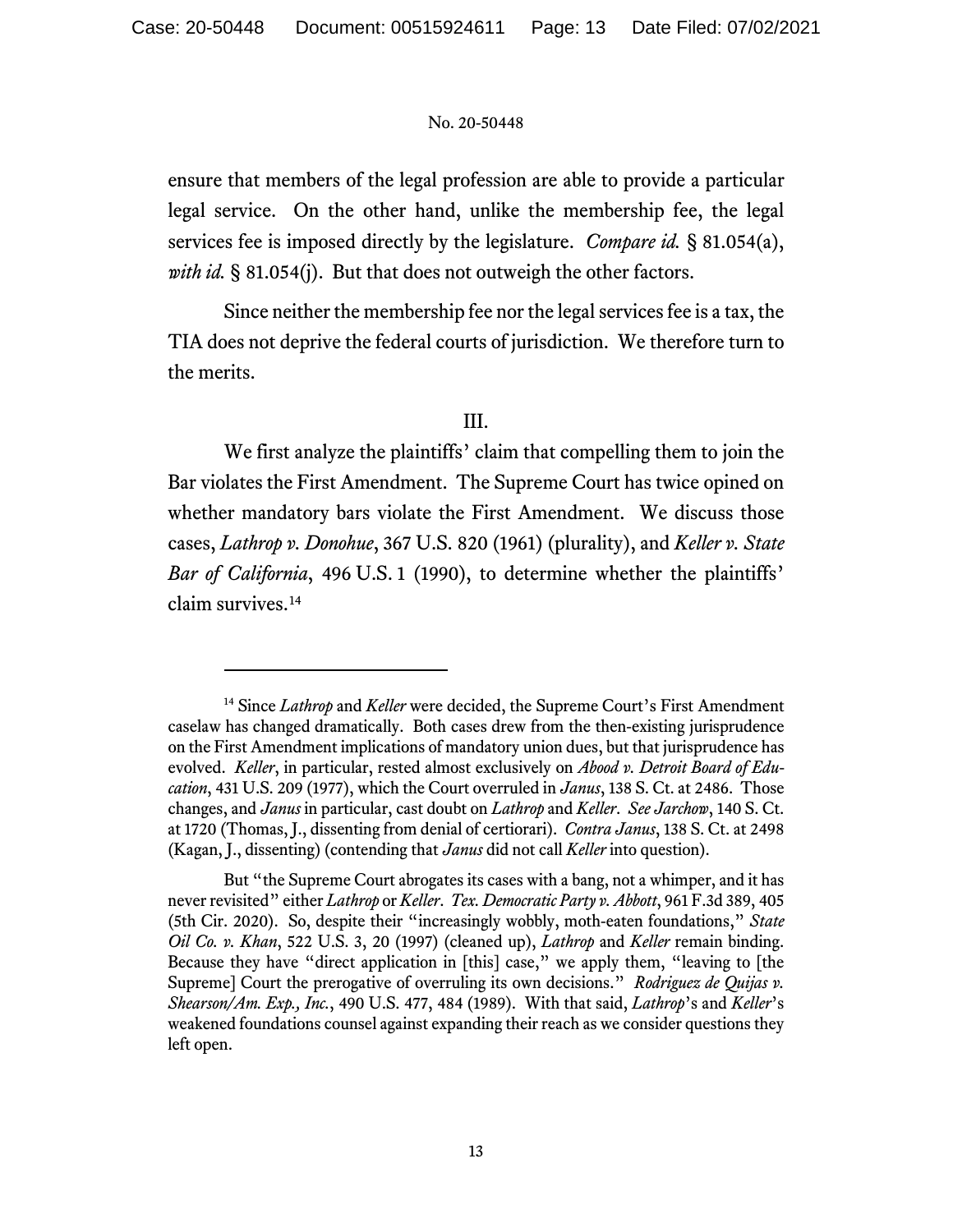ensure that members of the legal profession are able to provide a particular legal service. On the other hand, unlike the membership fee, the legal services fee is imposed directly by the legislature. *Compare id.* § 81.054(a), *with id.* § 81.054(j). But that does not outweigh the other factors.

Since neither the membership fee nor the legal services fee is a tax, the TIA does not deprive the federal courts of jurisdiction. We therefore turn to the merits.

# III.

We first analyze the plaintiffs' claim that compelling them to join the Bar violates the First Amendment. The Supreme Court has twice opined on whether mandatory bars violate the First Amendment. We discuss those cases, *Lathrop v. Donohue*, 367 U.S. 820 (1961) (plurality), and *Keller v. State Bar of California*, 496 U.S. 1 (1990), to determine whether the plaintiffs' claim survives. [14](#page-32-0)

<sup>&</sup>lt;sup>14</sup> Since *Lathrop* and *Keller* were decided, the Supreme Court's First Amendment caselaw has changed dramatically. Both cases drew from the then-existing jurisprudence on the First Amendment implications of mandatory union dues, but that jurisprudence has evolved. *Keller*, in particular, rested almost exclusively on *Abood v. Detroit Board of Education*, 431 U.S. 209 (1977), which the Court overruled in *Janus*, 138 S. Ct. at 2486. Those changes, and *Janus* in particular, cast doubt on *Lathrop* and *Keller*. *See Jarchow*, 140 S. Ct. at 1720 (Thomas, J., dissenting from denial of certiorari). *Contra Janus*, 138 S. Ct. at 2498 (Kagan, J., dissenting) (contending that *Janus* did not call *Keller* into question).

But "the Supreme Court abrogates its cases with a bang, not a whimper, and it has never revisited" either *Lathrop* or *Keller*. *Tex. Democratic Party v. Abbott*, 961 F.3d 389, 405 (5th Cir. 2020). So, despite their "increasingly wobbly, moth-eaten foundations," *State Oil Co. v. Khan*, 522 U.S. 3, 20 (1997) (cleaned up), *Lathrop* and *Keller* remain binding. Because they have "direct application in [this] case," we apply them, "leaving to [the Supreme] Court the prerogative of overruling its own decisions." *Rodriguez de Quijas v. Shearson/Am. Exp., Inc.*, 490 U.S. 477, 484 (1989). With that said, *Lathrop*'s and *Keller*'s weakened foundations counsel against expanding their reach as we consider questions they left open.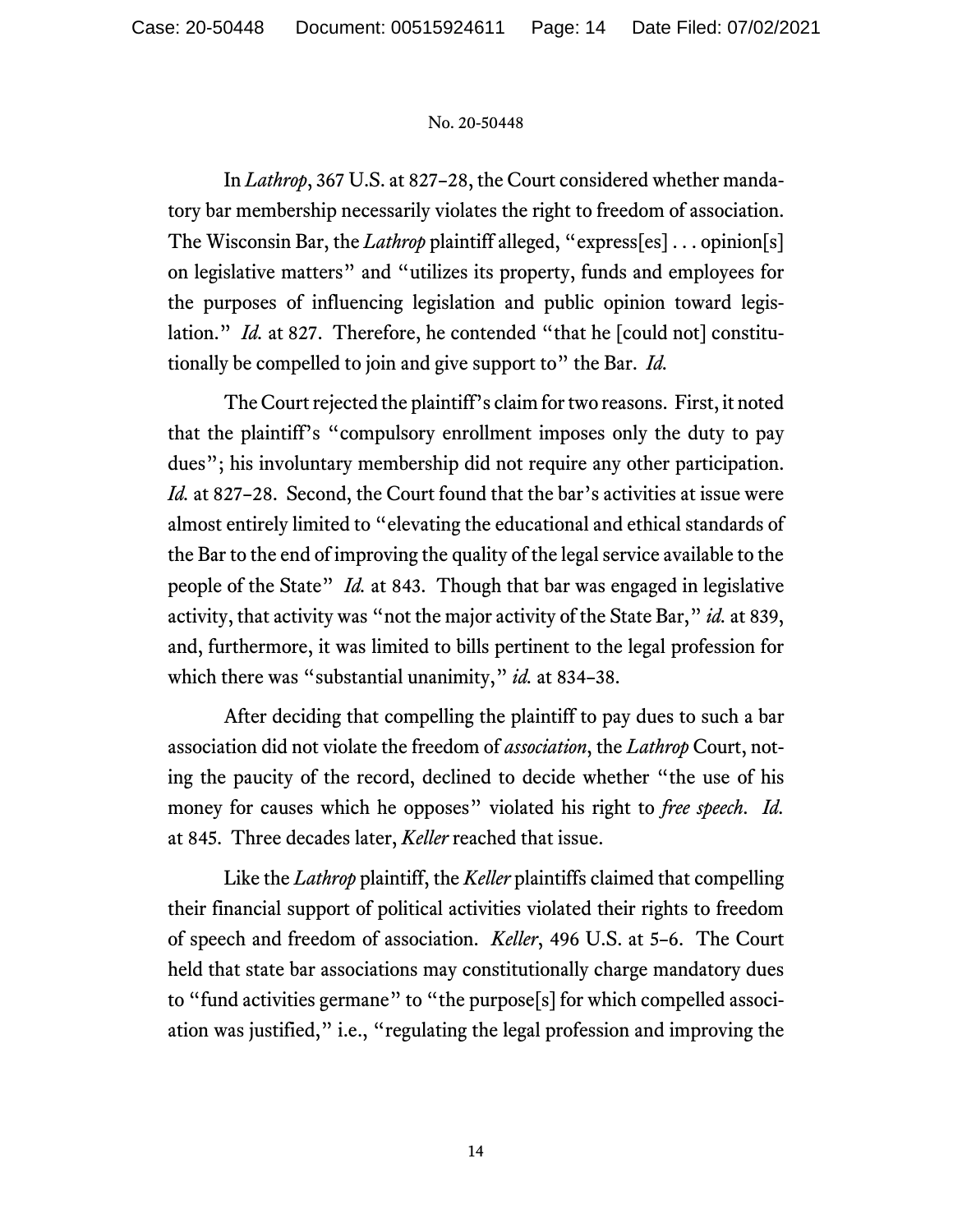In *Lathrop*, 367 U.S. at 827–28, the Court considered whether mandatory bar membership necessarily violates the right to freedom of association. The Wisconsin Bar, the *Lathrop* plaintiff alleged, "express[es] . . . opinion[s] on legislative matters" and "utilizes its property, funds and employees for the purposes of influencing legislation and public opinion toward legislation." *Id.* at 827. Therefore, he contended "that he [could not] constitutionally be compelled to join and give support to" the Bar. *Id.*

The Court rejected the plaintiff's claim for two reasons. First, it noted that the plaintiff's "compulsory enrollment imposes only the duty to pay dues"; his involuntary membership did not require any other participation. *Id.* at 827–28. Second, the Court found that the bar's activities at issue were almost entirely limited to "elevating the educational and ethical standards of the Bar to the end of improving the quality of the legal service available to the people of the State" *Id.* at 843. Though that bar was engaged in legislative activity, that activity was "not the major activity of the State Bar," *id.* at 839, and, furthermore, it was limited to bills pertinent to the legal profession for which there was "substantial unanimity," *id.* at 834–38.

After deciding that compelling the plaintiff to pay dues to such a bar association did not violate the freedom of *association*, the *Lathrop* Court, noting the paucity of the record, declined to decide whether "the use of his money for causes which he opposes" violated his right to *free speech*. *Id.* at 845. Three decades later, *Keller* reached that issue.

Like the *Lathrop* plaintiff, the *Keller* plaintiffs claimed that compelling their financial support of political activities violated their rights to freedom of speech and freedom of association. *Keller*, 496 U.S. at 5–6. The Court held that state bar associations may constitutionally charge mandatory dues to "fund activities germane" to "the purpose[s] for which compelled association was justified," i.e., "regulating the legal profession and improving the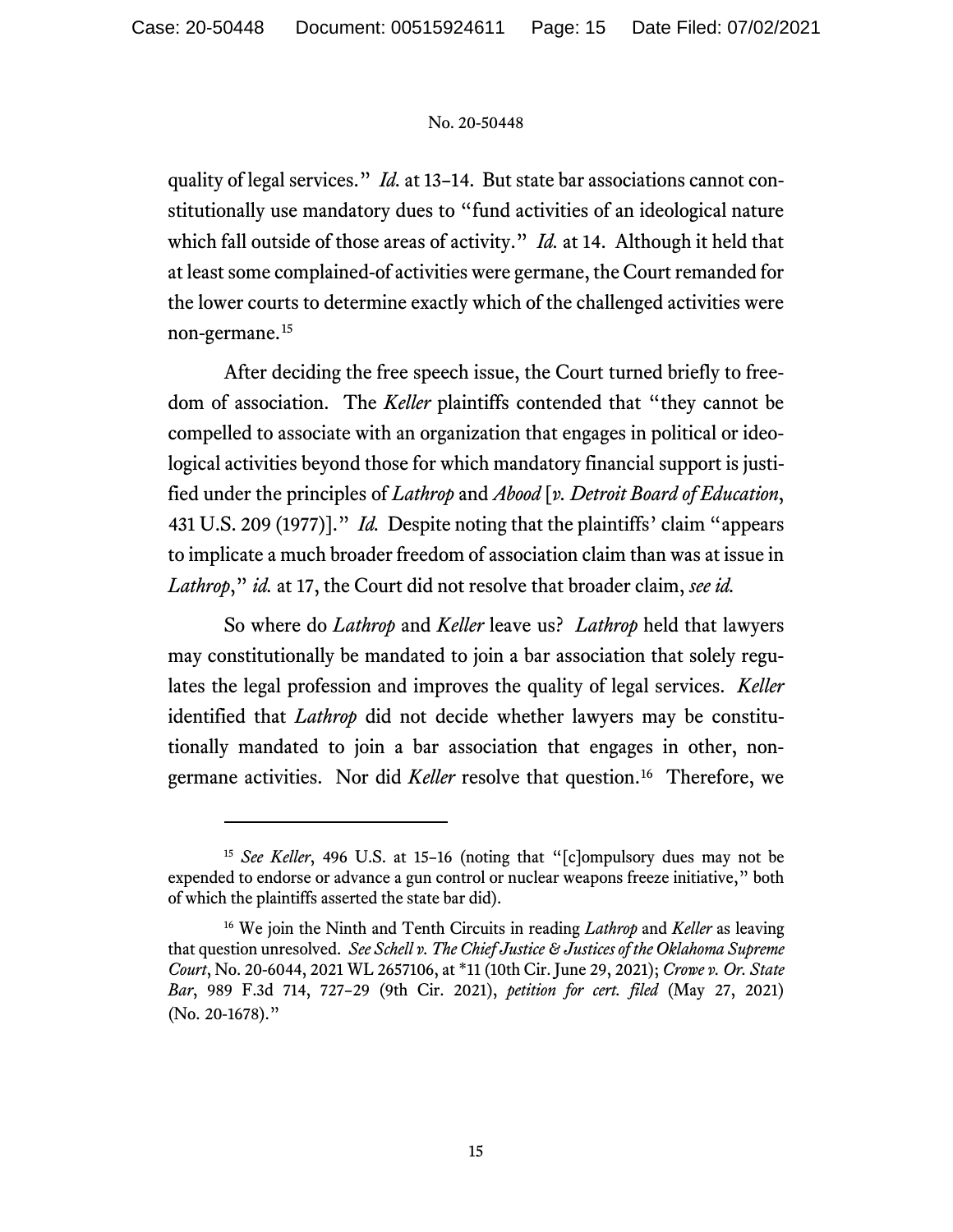quality of legal services." *Id.* at 13–14. But state bar associations cannot constitutionally use mandatory dues to "fund activities of an ideological nature which fall outside of those areas of activity." *Id.* at 14. Although it held that at least some complained-of activities were germane, the Court remanded for the lower courts to determine exactly which of the challenged activities were non-germane.[15](#page-32-0)

After deciding the free speech issue, the Court turned briefly to freedom of association. The *Keller* plaintiffs contended that "they cannot be compelled to associate with an organization that engages in political or ideological activities beyond those for which mandatory financial support is justified under the principles of *Lathrop* and *Abood* [*v. Detroit Board of Education*, 431 U.S. 209 (1977)]." *Id.* Despite noting that the plaintiffs' claim "appears to implicate a much broader freedom of association claim than was at issue in *Lathrop*," *id.* at 17, the Court did not resolve that broader claim, *see id.*

So where do *Lathrop* and *Keller* leave us? *Lathrop* held that lawyers may constitutionally be mandated to join a bar association that solely regulates the legal profession and improves the quality of legal services. *Keller*  identified that *Lathrop* did not decide whether lawyers may be constitutionally mandated to join a bar association that engages in other, nongermane activities. Nor did *Keller* resolve that question.[16](#page-32-0) Therefore, we

<sup>15</sup> *See Keller*, 496 U.S. at 15–16 (noting that "[c]ompulsory dues may not be expended to endorse or advance a gun control or nuclear weapons freeze initiative," both of which the plaintiffs asserted the state bar did).

<sup>16</sup> We join the Ninth and Tenth Circuits in reading *Lathrop* and *Keller* as leaving that question unresolved. *See Schell v. The Chief Justice & Justices of the Oklahoma Supreme Court*, No. 20-6044, 2021 WL 2657106, at \*11 (10th Cir. June 29, 2021); *Crowe v. Or. State Bar*, 989 F.3d 714, 727–29 (9th Cir. 2021), *petition for cert. filed* (May 27, 2021) (No. 20-1678)."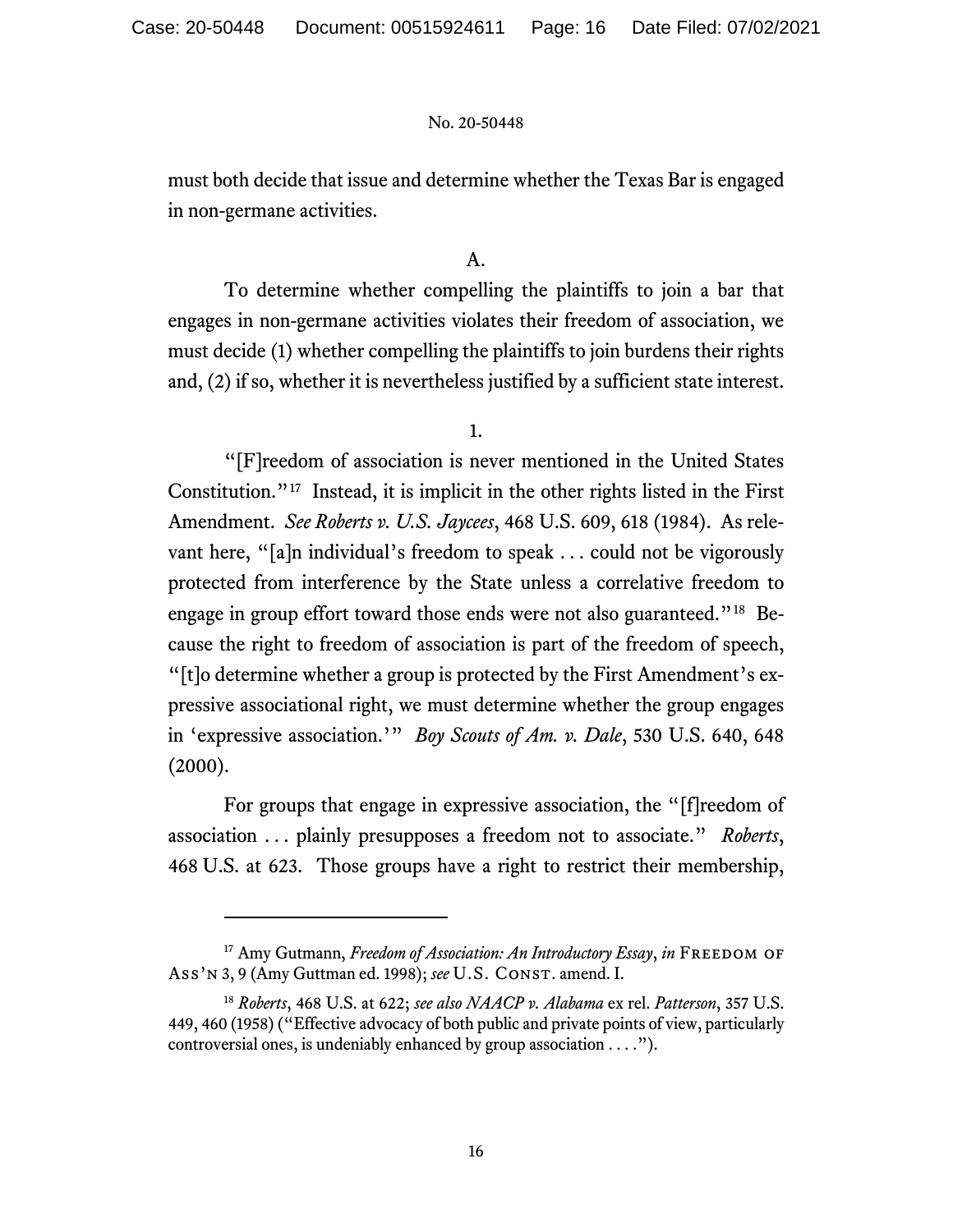must both decide that issue and determine whether the Texas Bar is engaged in non-germane activities.

### A.

To determine whether compelling the plaintiffs to join a bar that engages in non-germane activities violates their freedom of association, we must decide (1) whether compelling the plaintiffs to join burdens their rights and, (2) if so, whether it is nevertheless justified by a sufficient state interest.

#### 1.

"[F]reedom of association is never mentioned in the United States Constitution."[17](#page-32-0) Instead, it is implicit in the other rights listed in the First Amendment. *See Roberts v. U.S. Jaycees*, 468 U.S. 609, 618 (1984). As relevant here, "[a]n individual's freedom to speak . . . could not be vigorously protected from interference by the State unless a correlative freedom to engage in group effort toward those ends were not also guaranteed."[18](#page-32-0) Because the right to freedom of association is part of the freedom of speech, "[t]o determine whether a group is protected by the First Amendment's expressive associational right, we must determine whether the group engages in 'expressive association.'" *Boy Scouts of Am. v. Dale*, 530 U.S. 640, 648  $(2000).$ 

For groups that engage in expressive association, the "[f]reedom of association . . . plainly presupposes a freedom not to associate." *Roberts*, 468 U.S. at 623. Those groups have a right to restrict their membership,

<sup>&</sup>lt;sup>17</sup> Amy Gutmann, *Freedom of Association: An Introductory Essay*, *in* FREEDOM OF Ass'n 3, 9 (Amy Guttman ed. 1998); *see* U.S. Const. amend. I.

<sup>18</sup> *Roberts*, 468 U.S. at 622; *see also NAACP v. Alabama* ex rel. *Patterson*, 357 U.S. 449, 460 (1958) ("Effective advocacy of both public and private points of view, particularly controversial ones, is undeniably enhanced by group association . . . .").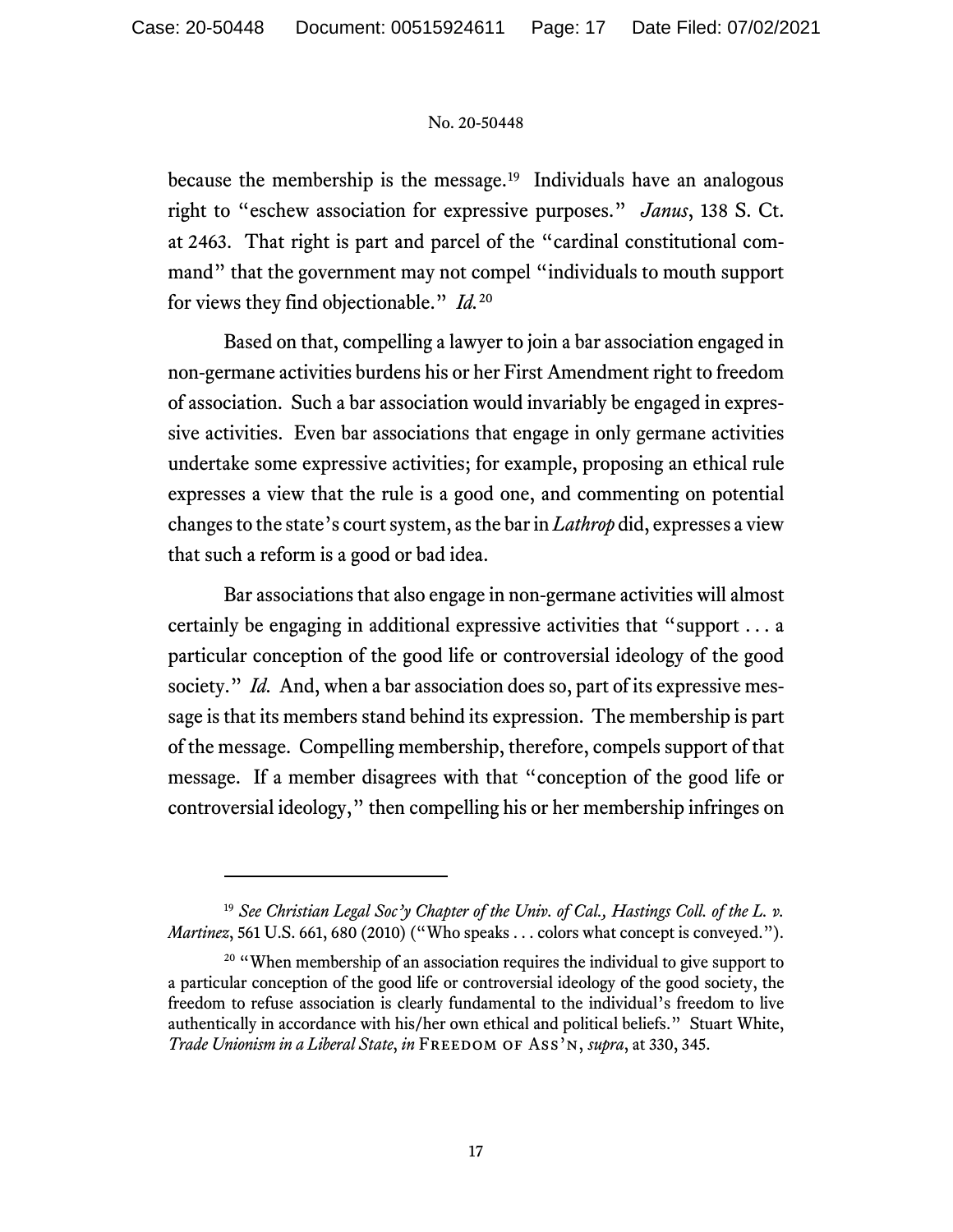because the membership is the message.<sup>19</sup> Individuals have an analogous right to "eschew association for expressive purposes." *Janus*, 138 S. Ct. at 2463. That right is part and parcel of the "cardinal constitutional command" that the government may not compel "individuals to mouth support for views they find objectionable." *Id.*[20](#page-32-0)

Based on that, compelling a lawyer to join a bar association engaged in non-germane activities burdens his or her First Amendment right to freedom of association. Such a bar association would invariably be engaged in expressive activities. Even bar associations that engage in only germane activities undertake some expressive activities; for example, proposing an ethical rule expresses a view that the rule is a good one, and commenting on potential changes to the state's court system, as the bar in *Lathrop* did, expresses a view that such a reform is a good or bad idea.

Bar associations that also engage in non-germane activities will almost certainly be engaging in additional expressive activities that "support . . . a particular conception of the good life or controversial ideology of the good society." *Id.* And, when a bar association does so, part of its expressive message is that its members stand behind its expression. The membership is part of the message. Compelling membership, therefore, compels support of that message. If a member disagrees with that "conception of the good life or controversial ideology," then compelling his or her membership infringes on

<sup>19</sup> *See Christian Legal Soc'y Chapter of the Univ. of Cal., Hastings Coll. of the L. v. Martinez*, 561 U.S. 661, 680 (2010) ("Who speaks . . . colors what concept is conveyed.").

<sup>&</sup>lt;sup>20</sup> "When membership of an association requires the individual to give support to a particular conception of the good life or controversial ideology of the good society, the freedom to refuse association is clearly fundamental to the individual's freedom to live authentically in accordance with his/her own ethical and political beliefs." Stuart White, *Trade Unionism in a Liberal State, in* FREEDOM OF ASS'N, *supra*, at 330, 345.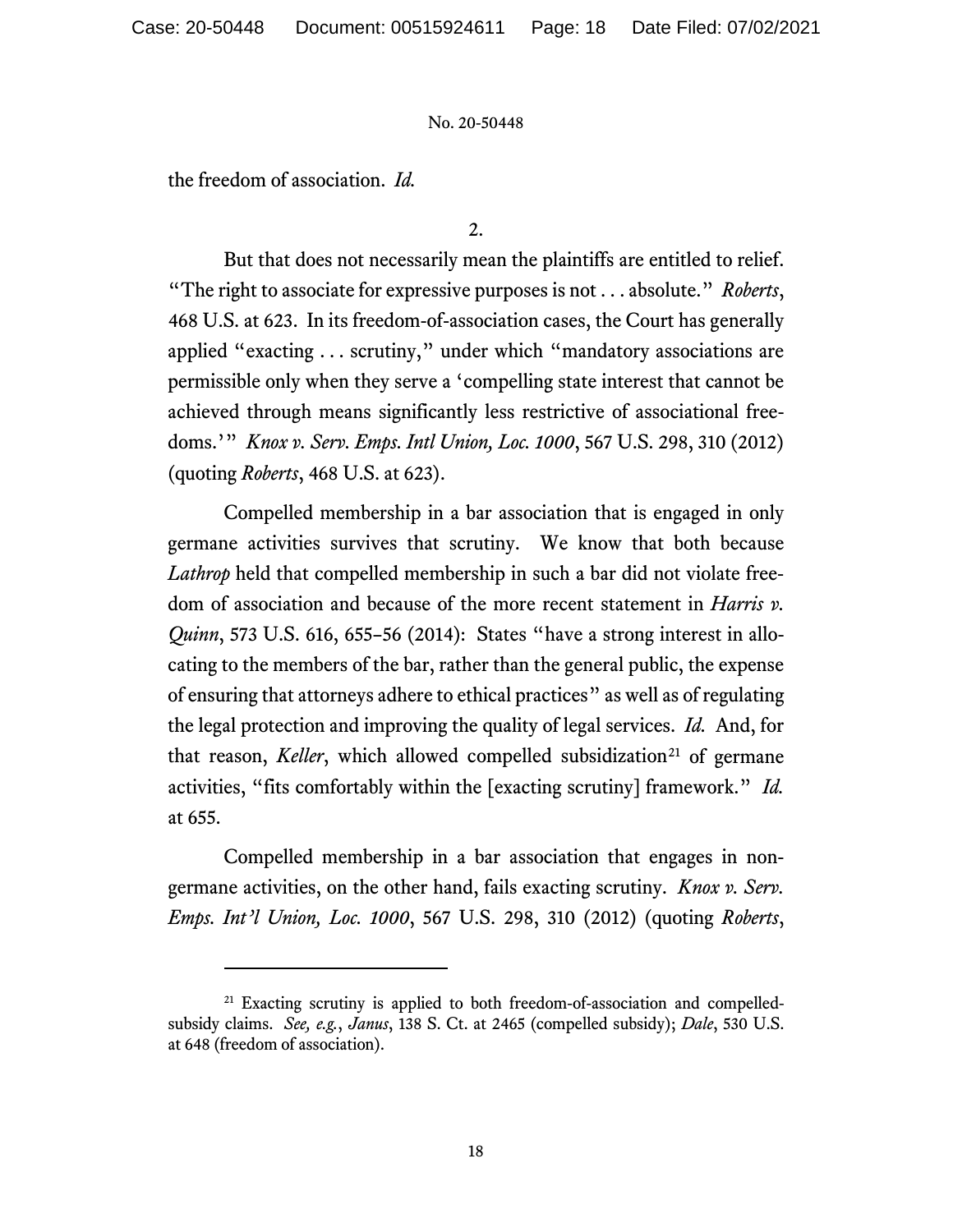the freedom of association. *Id.*

2.

But that does not necessarily mean the plaintiffs are entitled to relief. "The right to associate for expressive purposes is not . . . absolute." *Roberts*, 468 U.S. at 623. In its freedom-of-association cases, the Court has generally applied "exacting . . . scrutiny," under which "mandatory associations are permissible only when they serve a 'compelling state interest that cannot be achieved through means significantly less restrictive of associational freedoms.'" *Knox v. Serv. Emps. Intl Union, Loc. 1000*, 567 U.S. 298, 310 (2012) (quoting *Roberts*, 468 U.S. at 623).

Compelled membership in a bar association that is engaged in only germane activities survives that scrutiny. We know that both because *Lathrop* held that compelled membership in such a bar did not violate freedom of association and because of the more recent statement in *Harris v. Quinn*, 573 U.S. 616, 655–56 (2014): States "have a strong interest in allocating to the members of the bar, rather than the general public, the expense of ensuring that attorneys adhere to ethical practices" as well as of regulating the legal protection and improving the quality of legal services. *Id.* And, for that reason, *Keller*, which allowed compelled subsidization<sup>[21](#page-32-0)</sup> of germane activities, "fits comfortably within the [exacting scrutiny] framework." *Id.* at 655.

Compelled membership in a bar association that engages in nongermane activities, on the other hand, fails exacting scrutiny. *Knox v. Serv. Emps. Int'l Union, Loc. 1000*, 567 U.S. 298, 310 (2012) (quoting *Roberts*,

<sup>&</sup>lt;sup>21</sup> Exacting scrutiny is applied to both freedom-of-association and compelledsubsidy claims. *See, e.g.*, *Janus*, 138 S. Ct. at 2465 (compelled subsidy); *Dale*, 530 U.S. at 648 (freedom of association).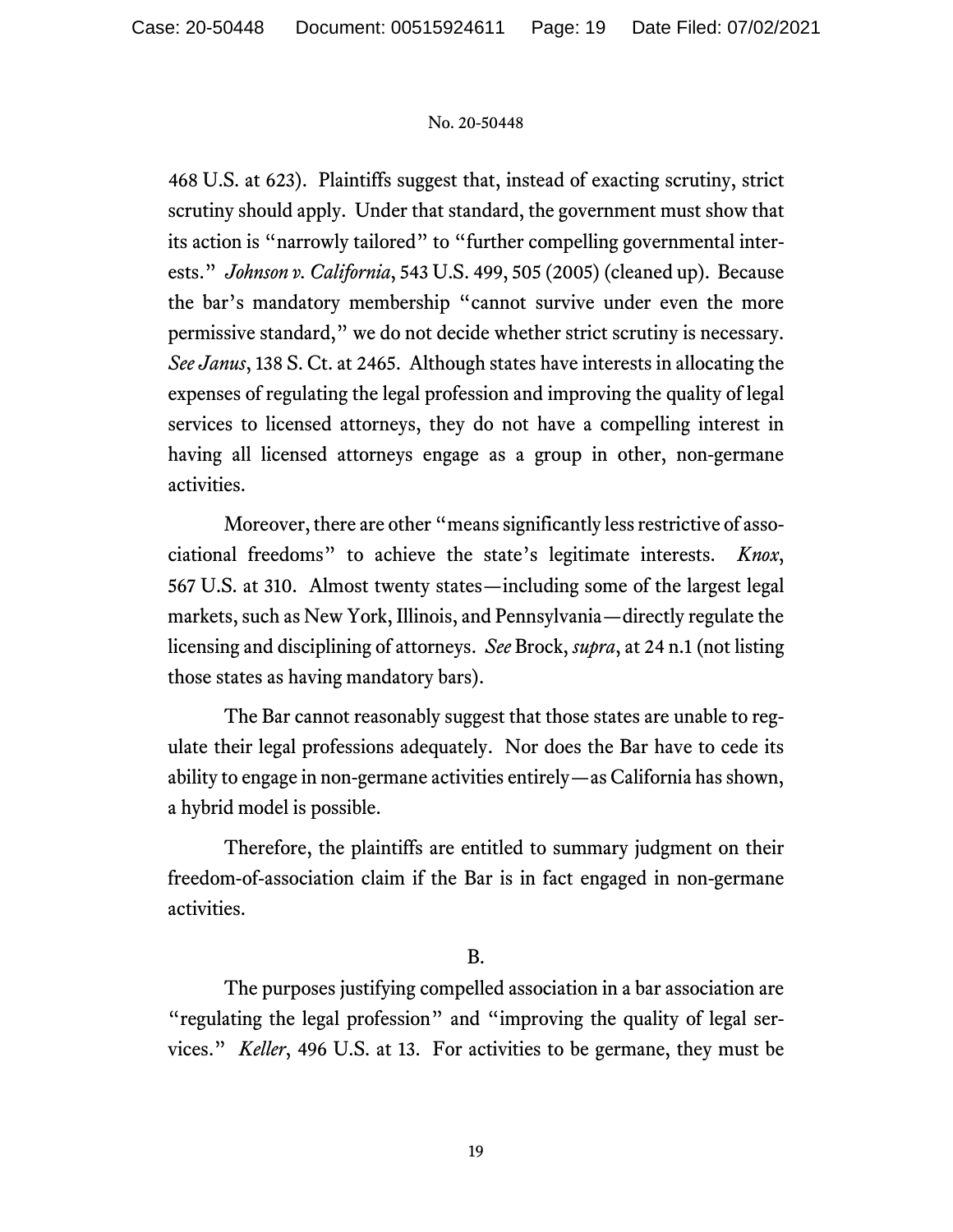468 U.S. at 623). Plaintiffs suggest that, instead of exacting scrutiny, strict scrutiny should apply. Under that standard, the government must show that its action is "narrowly tailored" to "further compelling governmental interests." *Johnson v. California*, 543 U.S. 499, 505 (2005) (cleaned up). Because the bar's mandatory membership "cannot survive under even the more permissive standard," we do not decide whether strict scrutiny is necessary. *See Janus*, 138 S. Ct. at 2465. Although states have interests in allocating the expenses of regulating the legal profession and improving the quality of legal services to licensed attorneys, they do not have a compelling interest in having all licensed attorneys engage as a group in other, non-germane activities.

Moreover, there are other "means significantly less restrictive of associational freedoms" to achieve the state's legitimate interests. *Knox*, 567 U.S. at 310. Almost twenty states—including some of the largest legal markets, such as New York, Illinois, and Pennsylvania—directly regulate the licensing and disciplining of attorneys. *See* Brock, *supra*, at 24 n.1 (not listing those states as having mandatory bars).

The Bar cannot reasonably suggest that those states are unable to regulate their legal professions adequately. Nor does the Bar have to cede its ability to engage in non-germane activities entirely—as California has shown, a hybrid model is possible.

Therefore, the plaintiffs are entitled to summary judgment on their freedom-of-association claim if the Bar is in fact engaged in non-germane activities.

# B.

The purposes justifying compelled association in a bar association are "regulating the legal profession" and "improving the quality of legal services." *Keller*, 496 U.S. at 13. For activities to be germane, they must be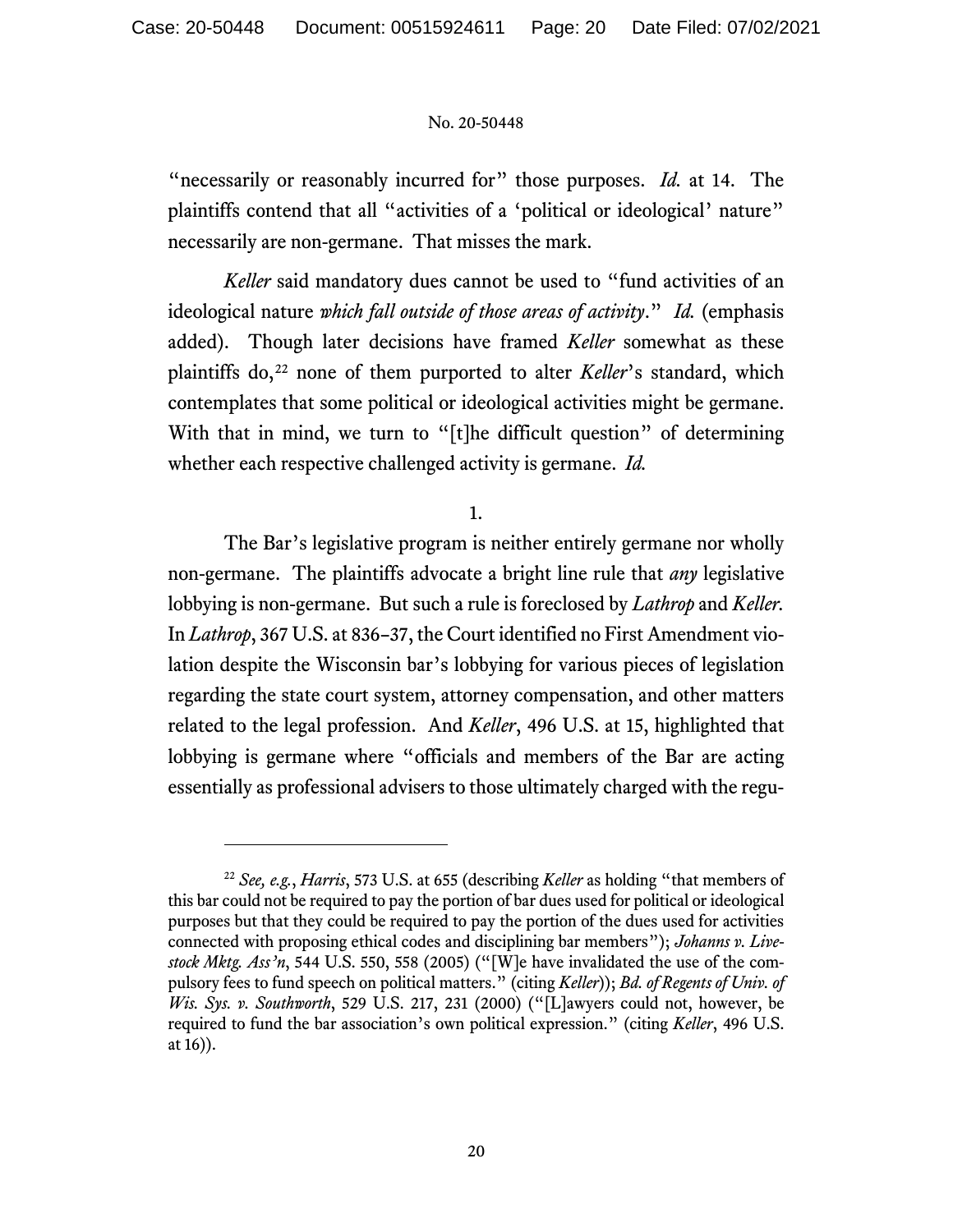"necessarily or reasonably incurred for" those purposes. *Id.* at 14. The plaintiffs contend that all "activities of a 'political or ideological' nature" necessarily are non-germane. That misses the mark.

*Keller* said mandatory dues cannot be used to "fund activities of an ideological nature *which fall outside of those areas of activity*." *Id.* (emphasis added). Though later decisions have framed *Keller* somewhat as these plaintiffs do,<sup>[22](#page-32-0)</sup> none of them purported to alter *Keller*'s standard, which contemplates that some political or ideological activities might be germane. With that in mind, we turn to "[t]he difficult question" of determining whether each respective challenged activity is germane. *Id.*

1.

The Bar's legislative program is neither entirely germane nor wholly non-germane. The plaintiffs advocate a bright line rule that *any* legislative lobbying is non-germane. But such a rule is foreclosed by *Lathrop* and *Keller.* In *Lathrop*, 367 U.S. at 836–37, the Court identified no First Amendment violation despite the Wisconsin bar's lobbying for various pieces of legislation regarding the state court system, attorney compensation, and other matters related to the legal profession. And *Keller*, 496 U.S. at 15, highlighted that lobbying is germane where "officials and members of the Bar are acting essentially as professional advisers to those ultimately charged with the regu-

<sup>22</sup> *See, e.g.*, *Harris*, 573 U.S. at 655 (describing *Keller* as holding "that members of this bar could not be required to pay the portion of bar dues used for political or ideological purposes but that they could be required to pay the portion of the dues used for activities connected with proposing ethical codes and disciplining bar members"); *Johanns v. Livestock Mktg. Ass'n*, 544 U.S. 550, 558 (2005) ("[W]e have invalidated the use of the compulsory fees to fund speech on political matters." (citing *Keller*)); *Bd. of Regents of Univ. of Wis. Sys. v. Southworth*, 529 U.S. 217, 231 (2000) ("[L]awyers could not, however, be required to fund the bar association's own political expression." (citing *Keller*, 496 U.S. at 16)).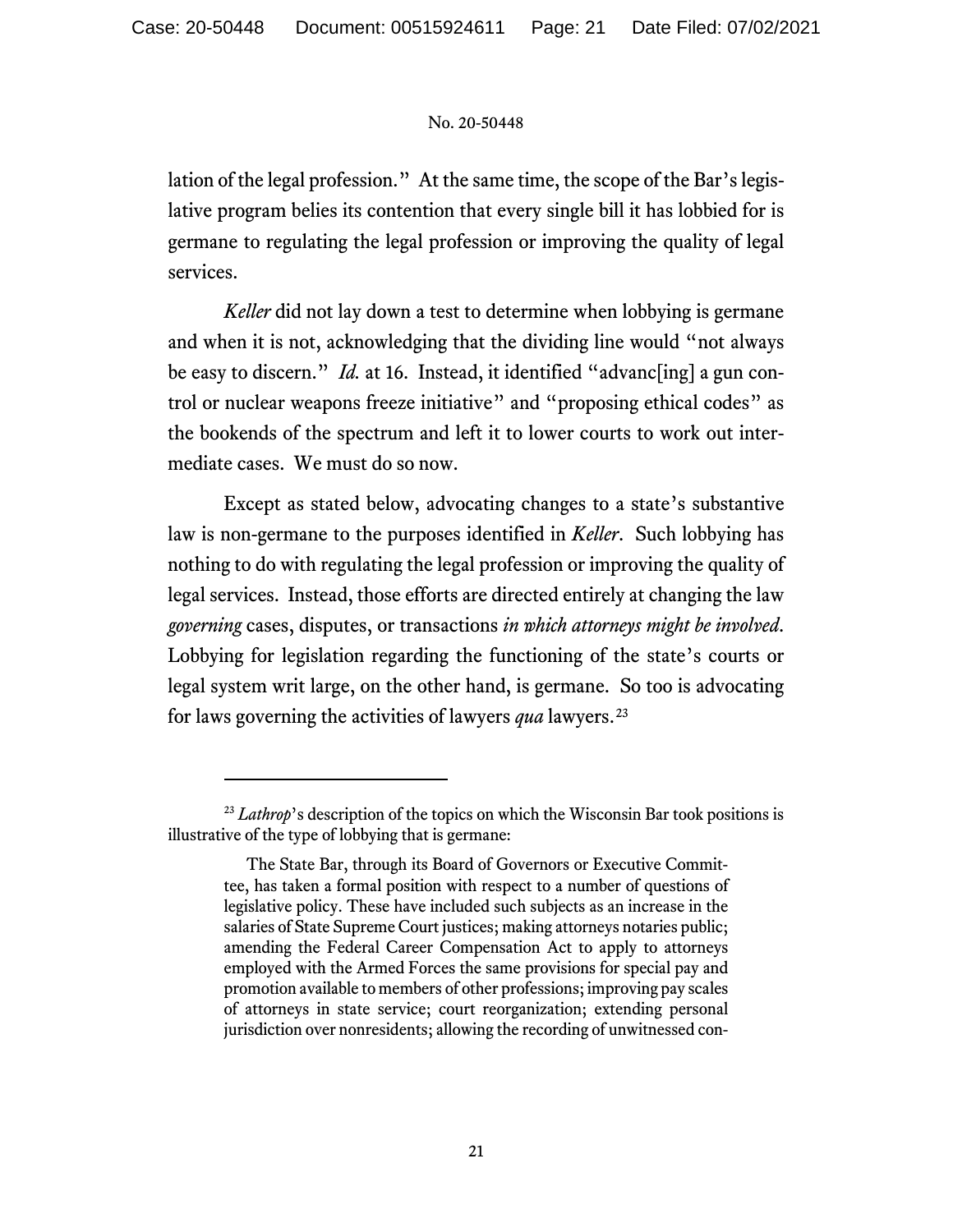lation of the legal profession." At the same time, the scope of the Bar's legislative program belies its contention that every single bill it has lobbied for is germane to regulating the legal profession or improving the quality of legal services.

*Keller* did not lay down a test to determine when lobbying is germane and when it is not, acknowledging that the dividing line would "not always be easy to discern." *Id.* at 16. Instead, it identified "advanc[ing] a gun control or nuclear weapons freeze initiative" and "proposing ethical codes" as the bookends of the spectrum and left it to lower courts to work out intermediate cases. We must do so now.

Except as stated below, advocating changes to a state's substantive law is non-germane to the purposes identified in *Keller*. Such lobbying has nothing to do with regulating the legal profession or improving the quality of legal services. Instead, those efforts are directed entirely at changing the law *governing* cases, disputes, or transactions *in which attorneys might be involved*. Lobbying for legislation regarding the functioning of the state's courts or legal system writ large, on the other hand, is germane. So too is advocating for laws governing the activities of lawyers *qua* lawyers. [23](#page-32-0)

<sup>&</sup>lt;sup>23</sup> *Lathrop*'s description of the topics on which the Wisconsin Bar took positions is illustrative of the type of lobbying that is germane:

The State Bar, through its Board of Governors or Executive Committee, has taken a formal position with respect to a number of questions of legislative policy. These have included such subjects as an increase in the salaries of State Supreme Court justices; making attorneys notaries public; amending the Federal Career Compensation Act to apply to attorneys employed with the Armed Forces the same provisions for special pay and promotion available to members of other professions; improving pay scales of attorneys in state service; court reorganization; extending personal jurisdiction over nonresidents; allowing the recording of unwitnessed con-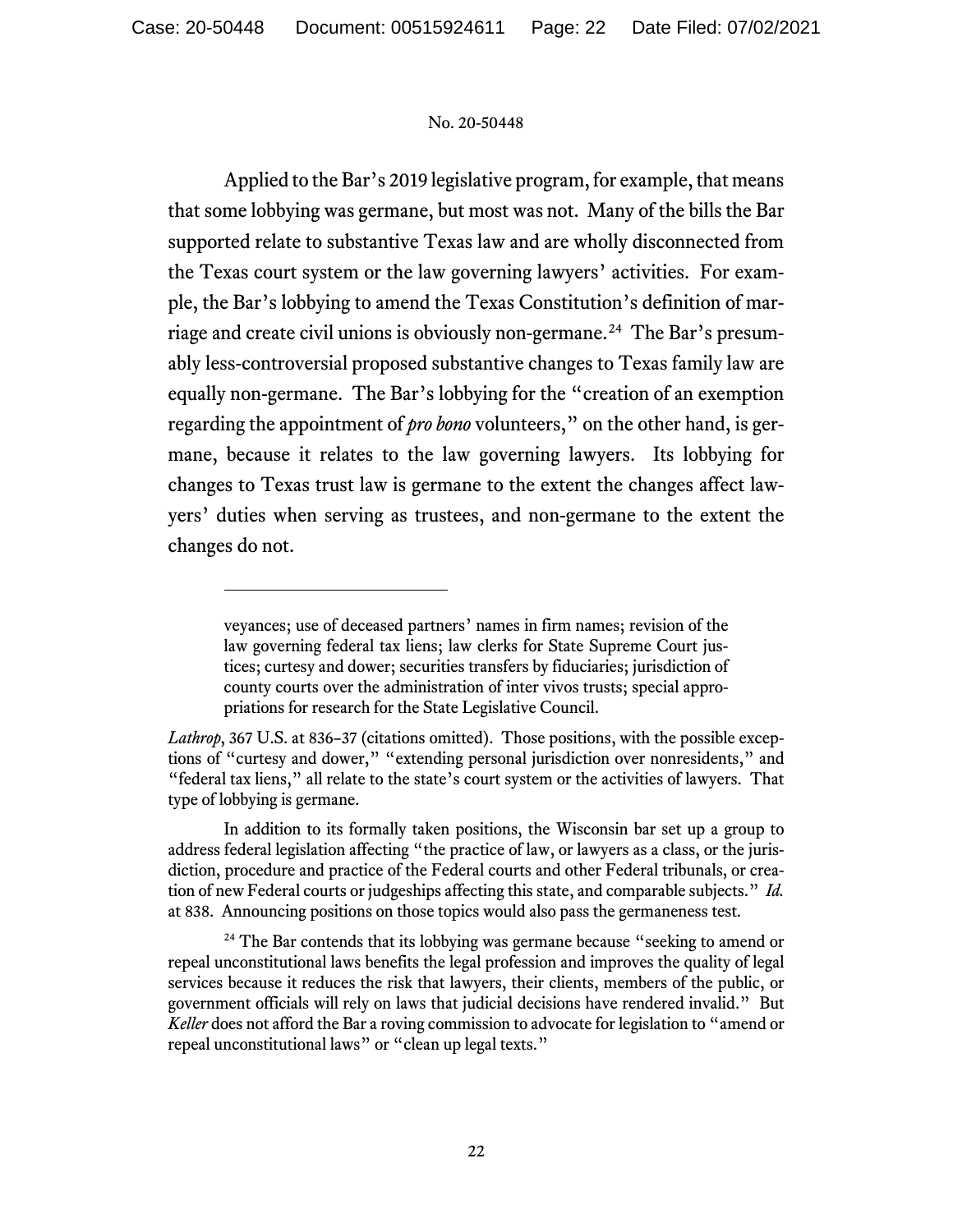Applied to the Bar's 2019 legislative program, for example, that means that some lobbying was germane, but most was not. Many of the bills the Bar supported relate to substantive Texas law and are wholly disconnected from the Texas court system or the law governing lawyers' activities. For example, the Bar's lobbying to amend the Texas Constitution's definition of marriage and create civil unions is obviously non-germane.[24](#page-32-0) The Bar's presumably less-controversial proposed substantive changes to Texas family law are equally non-germane. The Bar's lobbying for the "creation of an exemption regarding the appointment of *pro bono* volunteers," on the other hand, is germane, because it relates to the law governing lawyers. Its lobbying for changes to Texas trust law is germane to the extent the changes affect lawyers' duties when serving as trustees, and non-germane to the extent the changes do not.

veyances; use of deceased partners' names in firm names; revision of the law governing federal tax liens; law clerks for State Supreme Court justices; curtesy and dower; securities transfers by fiduciaries; jurisdiction of county courts over the administration of inter vivos trusts; special appropriations for research for the State Legislative Council.

*Lathrop*, 367 U.S. at 836–37 (citations omitted). Those positions, with the possible exceptions of "curtesy and dower," "extending personal jurisdiction over nonresidents," and "federal tax liens," all relate to the state's court system or the activities of lawyers. That type of lobbying is germane.

In addition to its formally taken positions, the Wisconsin bar set up a group to address federal legislation affecting "the practice of law, or lawyers as a class, or the jurisdiction, procedure and practice of the Federal courts and other Federal tribunals, or creation of new Federal courts or judgeships affecting this state, and comparable subjects." *Id.* at 838. Announcing positions on those topics would also pass the germaneness test.

 $24$  The Bar contends that its lobbying was germane because "seeking to amend or repeal unconstitutional laws benefits the legal profession and improves the quality of legal services because it reduces the risk that lawyers, their clients, members of the public, or government officials will rely on laws that judicial decisions have rendered invalid." But *Keller* does not afford the Bar a roving commission to advocate for legislation to "amend or repeal unconstitutional laws" or "clean up legal texts."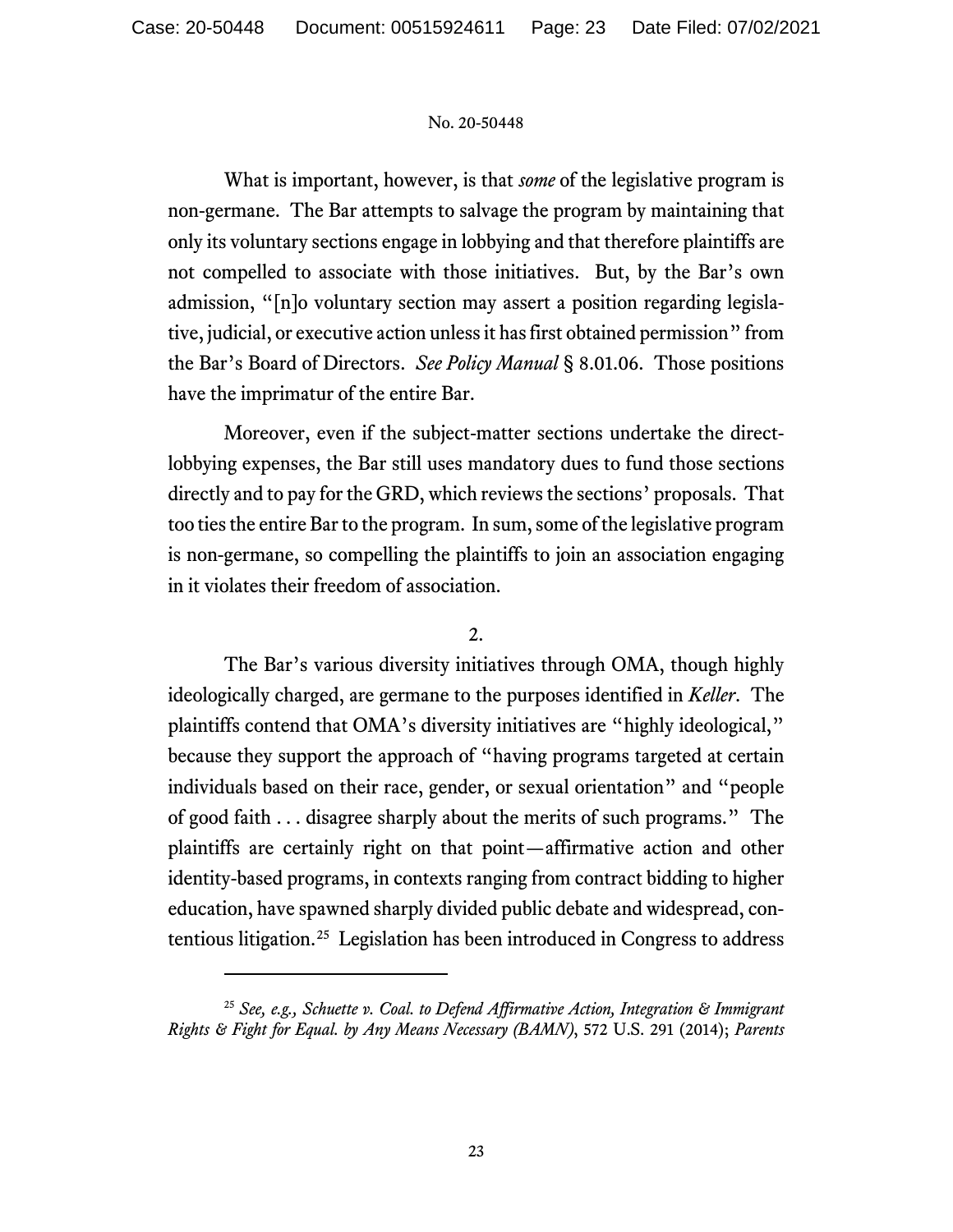What is important, however, is that *some* of the legislative program is non-germane. The Bar attempts to salvage the program by maintaining that only its voluntary sections engage in lobbying and that therefore plaintiffs are not compelled to associate with those initiatives. But, by the Bar's own admission, "[n]o voluntary section may assert a position regarding legislative, judicial, or executive action unless it has first obtained permission" from the Bar's Board of Directors. *See Policy Manual* § 8.01.06. Those positions have the imprimatur of the entire Bar.

Moreover, even if the subject-matter sections undertake the directlobbying expenses, the Bar still uses mandatory dues to fund those sections directly and to pay for the GRD, which reviews the sections' proposals. That too ties the entire Bar to the program.In sum, some of the legislative program is non-germane, so compelling the plaintiffs to join an association engaging in it violates their freedom of association.

# 2.

The Bar's various diversity initiatives through OMA, though highly ideologically charged, are germane to the purposes identified in *Keller*. The plaintiffs contend that OMA's diversity initiatives are "highly ideological," because they support the approach of "having programs targeted at certain individuals based on their race, gender, or sexual orientation" and "people of good faith . . . disagree sharply about the merits of such programs." The plaintiffs are certainly right on that point—affirmative action and other identity-based programs, in contexts ranging from contract bidding to higher education, have spawned sharply divided public debate and widespread, contentious litigation.[25](#page-32-0) Legislation has been introduced in Congress to address

<sup>25</sup> *See, e.g., Schuette v. Coal. to Defend Affirmative Action, Integration & Immigrant Rights & Fight for Equal. by Any Means Necessary (BAMN)*, 572 U.S. 291 (2014); *Parents*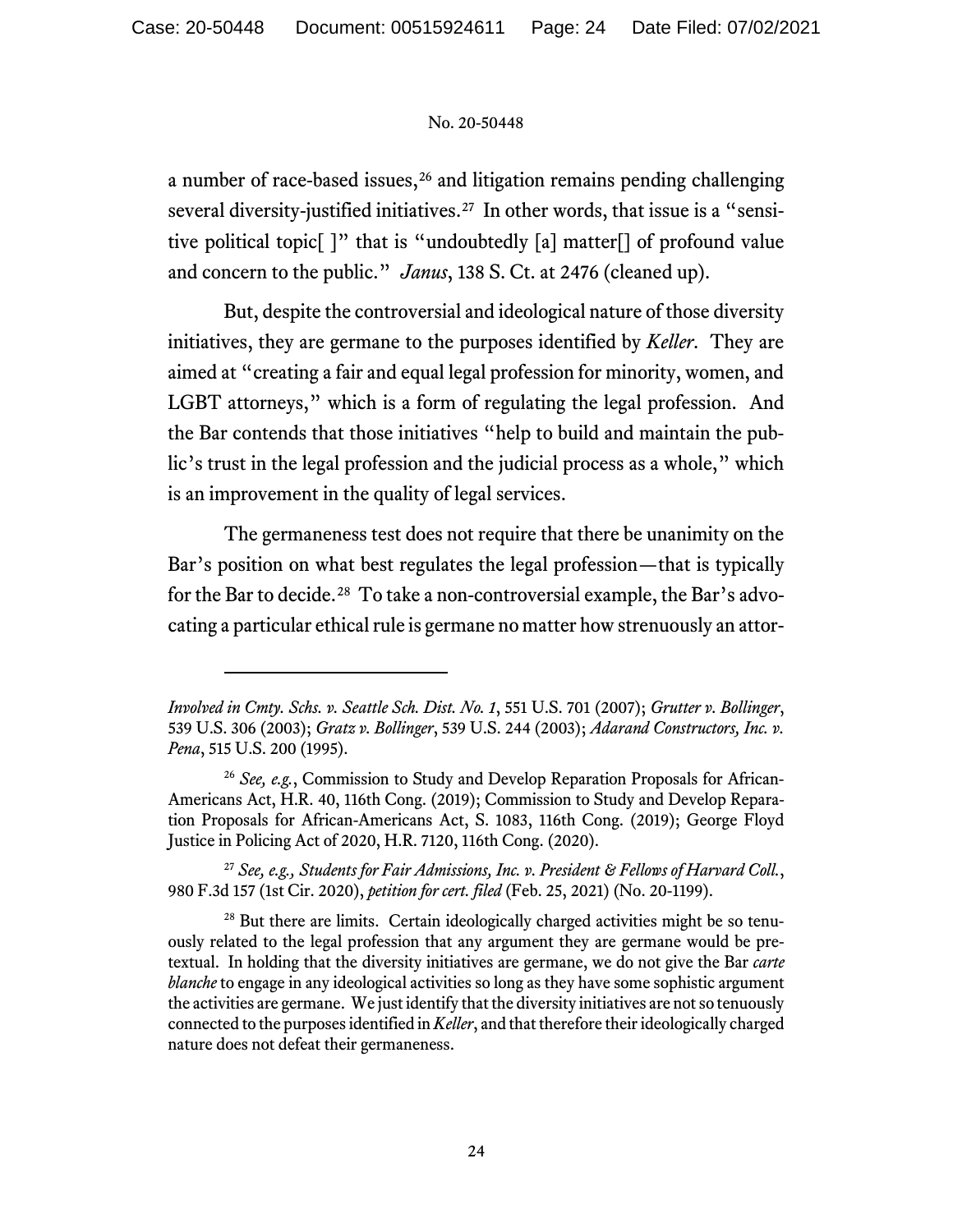a number of race-based issues, $26$  and litigation remains pending challenging several diversity-justified initiatives. [27](#page-32-0) In other words, that issue is a "sensitive political topic[ ]" that is "undoubtedly [a] matter[] of profound value and concern to the public." *Janus*, 138 S. Ct. at 2476 (cleaned up).

But, despite the controversial and ideological nature of those diversity initiatives, they are germane to the purposes identified by *Keller*. They are aimed at "creating a fair and equal legal profession for minority, women, and LGBT attorneys," which is a form of regulating the legal profession. And the Bar contends that those initiatives "help to build and maintain the public's trust in the legal profession and the judicial process as a whole," which is an improvement in the quality of legal services.

The germaneness test does not require that there be unanimity on the Bar's position on what best regulates the legal profession—that is typically for the Bar to decide.<sup>[28](#page-32-0)</sup> To take a non-controversial example, the Bar's advocating a particular ethical rule is germane no matter how strenuously an attor-

*Involved in Cmty. Schs. v. Seattle Sch. Dist. No. 1*, 551 U.S. 701 (2007); *Grutter v. Bollinger*, 539 U.S. 306 (2003); *Gratz v. Bollinger*, 539 U.S. 244 (2003); *Adarand Constructors, Inc. v. Pena*, 515 U.S. 200 (1995).

<sup>26</sup> *See, e.g.*, Commission to Study and Develop Reparation Proposals for African-Americans Act, H.R. 40, 116th Cong. (2019); Commission to Study and Develop Reparation Proposals for African-Americans Act, S. 1083, 116th Cong. (2019); George Floyd Justice in Policing Act of 2020, H.R. 7120, 116th Cong. (2020).

<sup>27</sup> *See, e.g., Students for Fair Admissions, Inc. v. President & Fellows of Harvard Coll.*, 980 F.3d 157 (1st Cir. 2020), *petition for cert. filed* (Feb. 25, 2021) (No. 20-1199).

<sup>&</sup>lt;sup>28</sup> But there are limits. Certain ideologically charged activities might be so tenuously related to the legal profession that any argument they are germane would be pretextual. In holding that the diversity initiatives are germane, we do not give the Bar *carte blanche* to engage in any ideological activities so long as they have some sophistic argument the activities are germane. We just identify that the diversity initiatives are not so tenuously connected to the purposes identified in *Keller*, and that therefore their ideologically charged nature does not defeat their germaneness.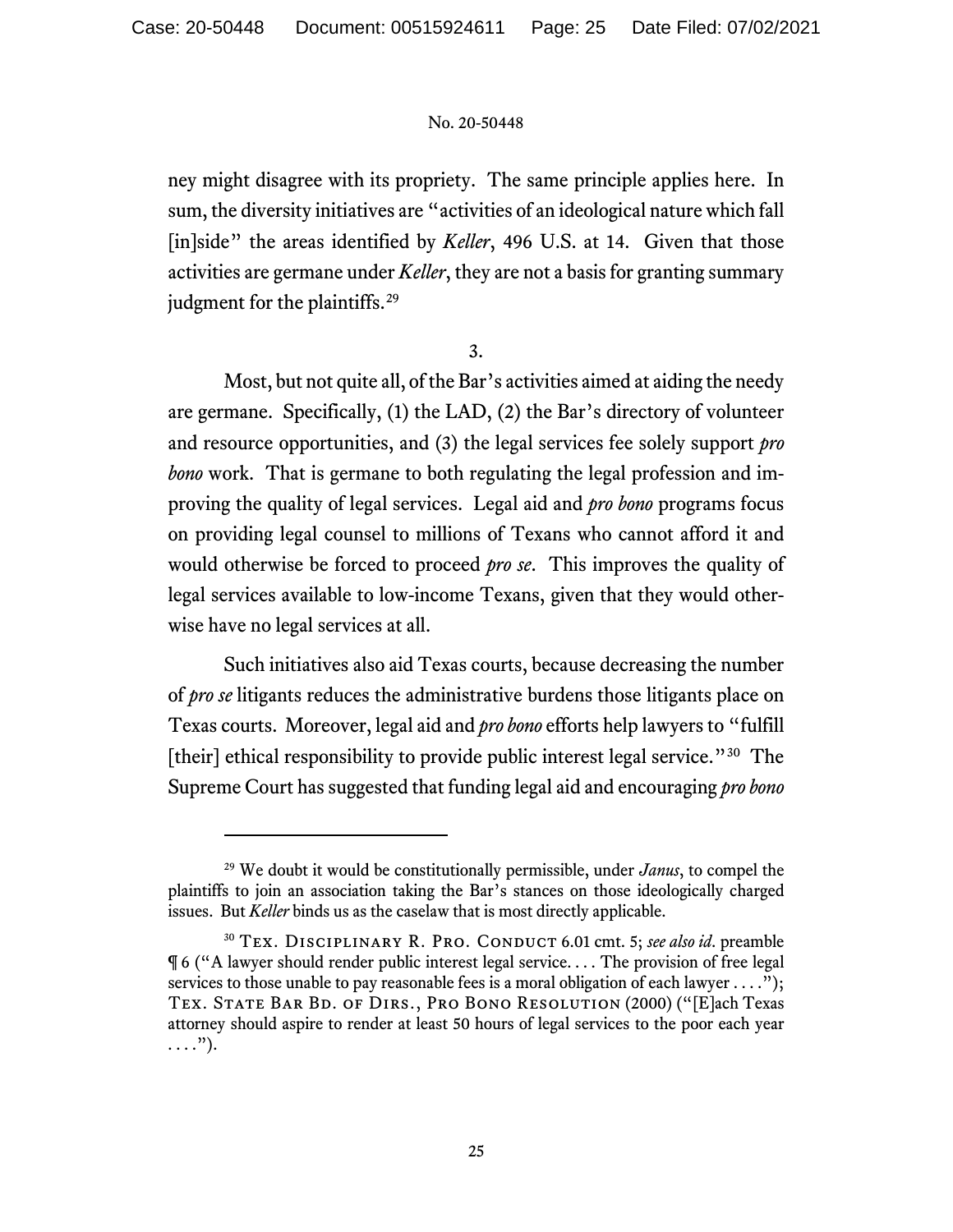ney might disagree with its propriety. The same principle applies here. In sum, the diversity initiatives are "activities of an ideological nature which fall [in]side" the areas identified by *Keller*, 496 U.S. at 14. Given that those activities are germane under *Keller*, they are not a basis for granting summary judgment for the plaintiffs.<sup>[29](#page-32-0)</sup>

3.

Most, but not quite all, of the Bar's activities aimed at aiding the needy are germane. Specifically, (1) the LAD, (2) the Bar's directory of volunteer and resource opportunities, and (3) the legal services fee solely support *pro bono* work. That is germane to both regulating the legal profession and improving the quality of legal services. Legal aid and *pro bono* programs focus on providing legal counsel to millions of Texans who cannot afford it and would otherwise be forced to proceed *pro se*. This improves the quality of legal services available to low-income Texans, given that they would otherwise have no legal services at all.

Such initiatives also aid Texas courts, because decreasing the number of *pro se* litigants reduces the administrative burdens those litigants place on Texas courts. Moreover, legal aid and *pro bono* efforts help lawyers to "fulfill [their] ethical responsibility to provide public interest legal service."<sup>30</sup> The Supreme Court has suggested that funding legal aid and encouraging *pro bono*

<sup>29</sup> We doubt it would be constitutionally permissible, under *Janus*, to compel the plaintiffs to join an association taking the Bar's stances on those ideologically charged issues. But *Keller* binds us as the caselaw that is most directly applicable.

<sup>&</sup>lt;sup>30</sup> TEX. DISCIPLINARY R. PRO. CONDUCT 6.01 cmt. 5; see also id. preamble ¶ 6 ("A lawyer should render public interest legal service. . . . The provision of free legal services to those unable to pay reasonable fees is a moral obligation of each lawyer  $\dots$ ."); TEX. STATE BAR BD. OF DIRS., PRO BONO RESOLUTION (2000) ("[E]ach Texas attorney should aspire to render at least 50 hours of legal services to the poor each year  $\ldots$ .").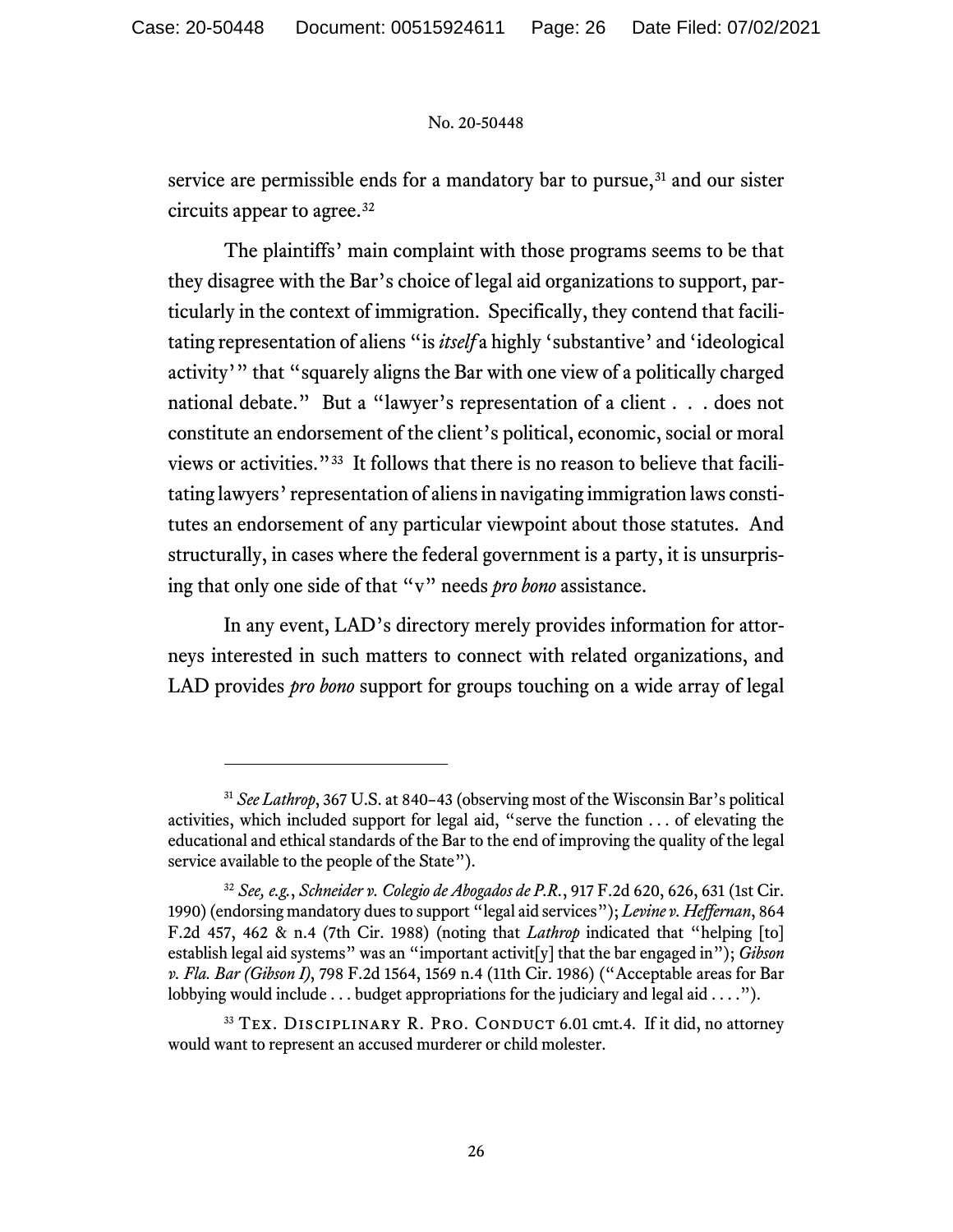service are permissible ends for a mandatory bar to pursue,<sup>[31](#page-32-0)</sup> and our sister circuits appear to agree.[32](#page-32-0) 

The plaintiffs' main complaint with those programs seems to be that they disagree with the Bar's choice of legal aid organizations to support, particularly in the context of immigration. Specifically, they contend that facilitating representation of aliens "is *itself* a highly 'substantive' and 'ideological activity'" that "squarely aligns the Bar with one view of a politically charged national debate." But a "lawyer's representation of a client . . . does not constitute an endorsement of the client's political, economic, social or moral views or activities."[33](#page-32-0) It follows that there is no reason to believe that facilitating lawyers' representation of aliens in navigating immigration laws constitutes an endorsement of any particular viewpoint about those statutes. And structurally, in cases where the federal government is a party, it is unsurprising that only one side of that "v" needs *pro bono* assistance.

In any event, LAD's directory merely provides information for attorneys interested in such matters to connect with related organizations, and LAD provides *pro bono* support for groups touching on a wide array of legal

<sup>31</sup> *See Lathrop*, 367 U.S. at 840–43 (observing most of the Wisconsin Bar's political activities, which included support for legal aid, "serve the function . . . of elevating the educational and ethical standards of the Bar to the end of improving the quality of the legal service available to the people of the State").

<sup>32</sup> *See, e.g.*, *Schneider v. Colegio de Abogados de P.R.*, 917 F.2d 620, 626, 631 (1st Cir. 1990) (endorsing mandatory dues to support "legal aid services"); *Levine v. Heffernan*, 864 F.2d 457, 462 & n.4 (7th Cir. 1988) (noting that *Lathrop* indicated that "helping [to] establish legal aid systems" was an "important activit[y] that the bar engaged in"); *Gibson v. Fla. Bar (Gibson I)*, 798 F.2d 1564, 1569 n.4 (11th Cir. 1986) ("Acceptable areas for Bar lobbying would include . . . budget appropriations for the judiciary and legal aid . . . .").

<sup>&</sup>lt;sup>33</sup> TEX. DISCIPLINARY R. PRO. CONDUCT 6.01 cmt.4. If it did, no attorney would want to represent an accused murderer or child molester.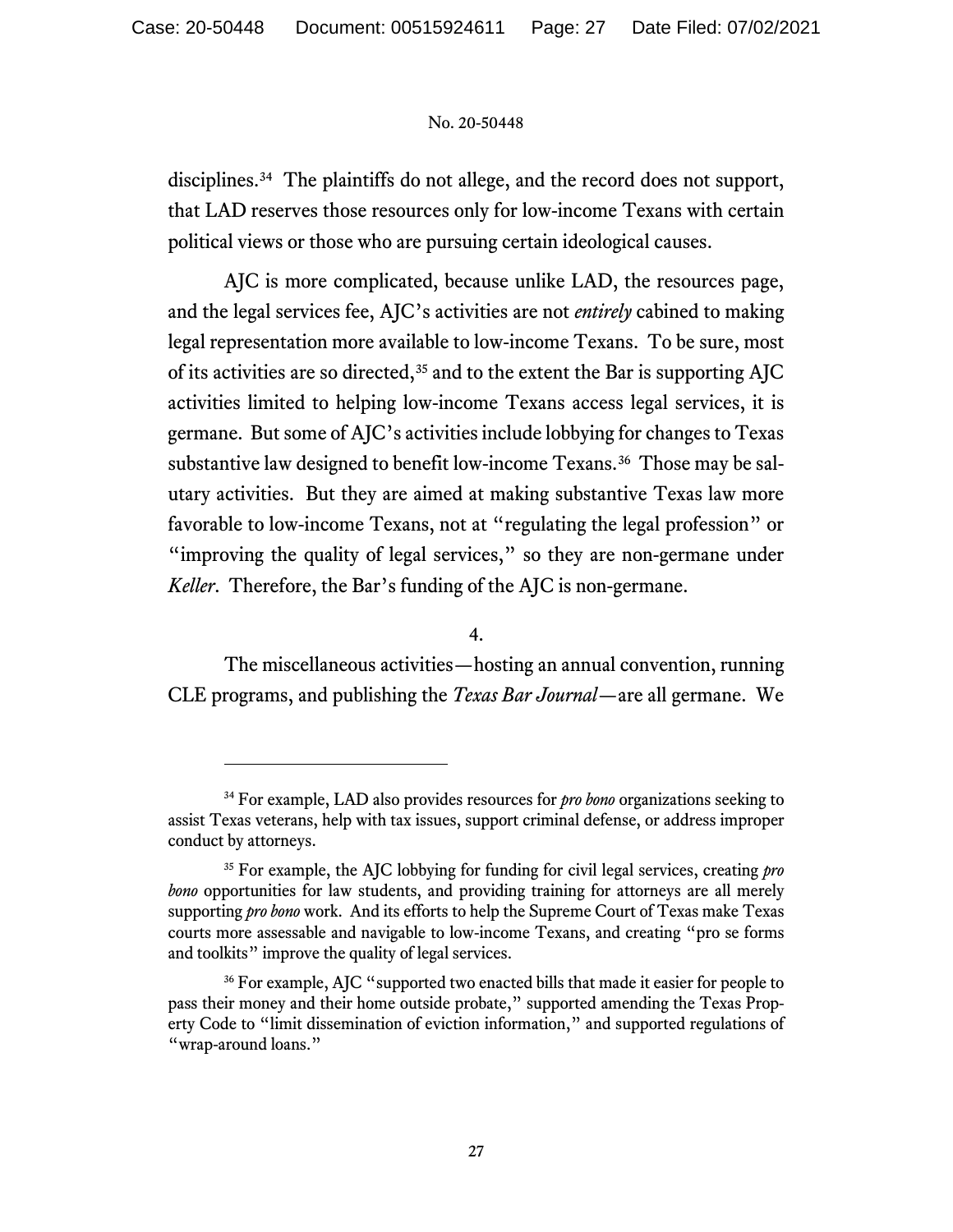disciplines.<sup>[34](#page-32-0)</sup> The plaintiffs do not allege, and the record does not support, that LAD reserves those resources only for low-income Texans with certain political views or those who are pursuing certain ideological causes.

AJC is more complicated, because unlike LAD, the resources page, and the legal services fee, AJC's activities are not *entirely* cabined to making legal representation more available to low-income Texans. To be sure, most of its activities are so directed,  $35$  and to the extent the Bar is supporting AJC activities limited to helping low-income Texans access legal services, it is germane. But some of AJC's activities include lobbying for changes to Texas substantive law designed to benefit low-income Texans.<sup>[36](#page-32-0)</sup> Those may be salutary activities. But they are aimed at making substantive Texas law more favorable to low-income Texans, not at "regulating the legal profession" or "improving the quality of legal services," so they are non-germane under *Keller*. Therefore, the Bar's funding of the AJC is non-germane.

4.

The miscellaneous activities—hosting an annual convention, running CLE programs, and publishing the *Texas Bar Journal*—are all germane. We

<sup>34</sup> For example, LAD also provides resources for *pro bono* organizations seeking to assist Texas veterans, help with tax issues, support criminal defense, or address improper conduct by attorneys.

<sup>35</sup> For example, the AJC lobbying for funding for civil legal services, creating *pro bono* opportunities for law students, and providing training for attorneys are all merely supporting *pro bono* work. And its efforts to help the Supreme Court of Texas make Texas courts more assessable and navigable to low-income Texans, and creating "pro se forms and toolkits" improve the quality of legal services.

<sup>&</sup>lt;sup>36</sup> For example, AJC "supported two enacted bills that made it easier for people to pass their money and their home outside probate," supported amending the Texas Property Code to "limit dissemination of eviction information," and supported regulations of "wrap-around loans."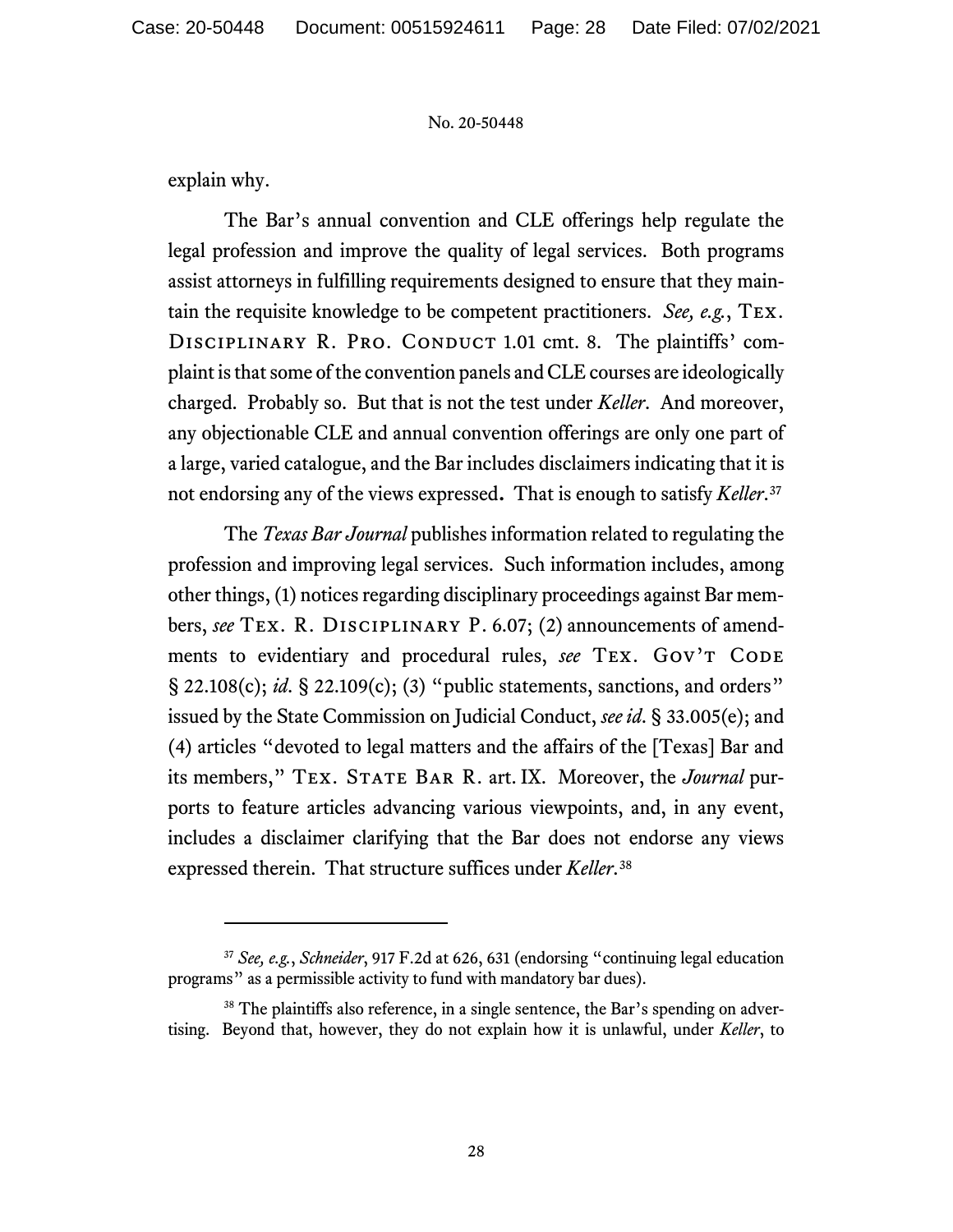explain why.

The Bar's annual convention and CLE offerings help regulate the legal profession and improve the quality of legal services. Both programs assist attorneys in fulfilling requirements designed to ensure that they maintain the requisite knowledge to be competent practitioners. *See, e.g.*, Tex. DISCIPLINARY R. PRO. CONDUCT 1.01 cmt. 8. The plaintiffs' complaint is that some of the convention panels and CLE courses are ideologically charged. Probably so. But that is not the test under *Keller*. And moreover, any objectionable CLE and annual convention offerings are only one part of a large, varied catalogue, and the Bar includes disclaimers indicating that it is not endorsing any of the views expressed**.** That is enough to satisfy *Keller*. [37](#page-32-0)

The *Texas Bar Journal* publishes information related to regulating the profession and improving legal services. Such information includes, among other things, (1) notices regarding disciplinary proceedings against Bar members, *see* Tex. R. Disciplinary P. 6.07; (2) announcements of amendments to evidentiary and procedural rules, see TEX. GOV'T CODE § 22.108(c); *id*. § 22.109(c); (3) "public statements, sanctions, and orders" issued by the State Commission on Judicial Conduct, *see id*. § 33.005(e); and (4) articles "devoted to legal matters and the affairs of the [Texas] Bar and its members," Tex. State Bar R. art. IX. Moreover, the *Journal* purports to feature articles advancing various viewpoints, and, in any event, includes a disclaimer clarifying that the Bar does not endorse any views expressed therein. That structure suffices under *Keller*.[38](#page-32-0)

<sup>37</sup> *See, e.g.*, *Schneider*, 917 F.2d at 626, 631 (endorsing "continuing legal education programs" as a permissible activity to fund with mandatory bar dues).

<sup>&</sup>lt;sup>38</sup> The plaintiffs also reference, in a single sentence, the Bar's spending on advertising. Beyond that, however, they do not explain how it is unlawful, under *Keller*, to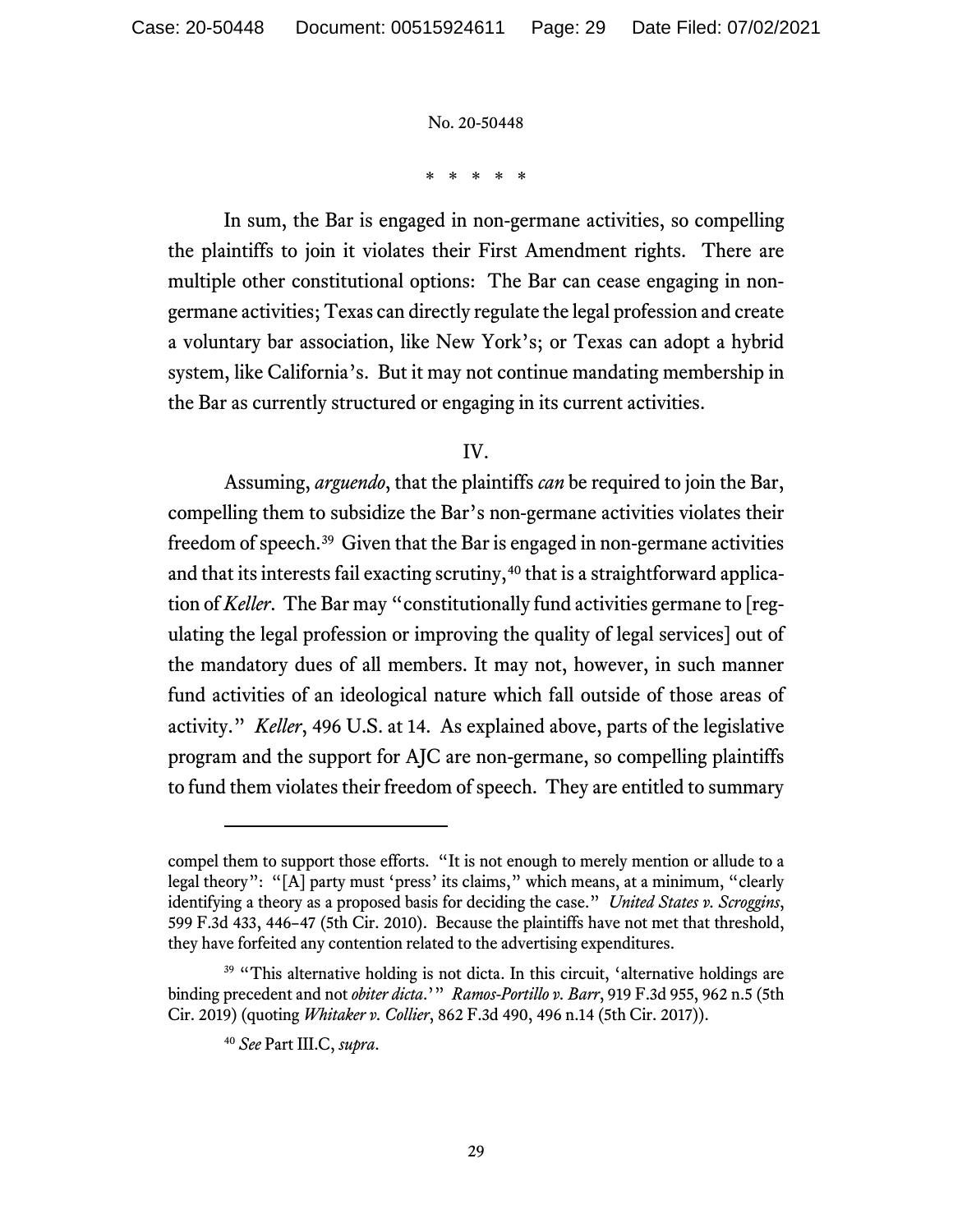\* \* \* \* \*

In sum, the Bar is engaged in non-germane activities, so compelling the plaintiffs to join it violates their First Amendment rights. There are multiple other constitutional options: The Bar can cease engaging in nongermane activities; Texas can directly regulate the legal profession and create a voluntary bar association, like New York's; or Texas can adopt a hybrid system, like California's. But it may not continue mandating membership in the Bar as currently structured or engaging in its current activities.

# IV.

Assuming, *arguendo*, that the plaintiffs *can* be required to join the Bar, compelling them to subsidize the Bar's non-germane activities violates their freedom of speech.[39](#page-32-0) Given that the Bar is engaged in non-germane activities and that its interests fail exacting scrutiny, [40](#page-32-0) that is a straightforward application of *Keller*. The Bar may "constitutionally fund activities germane to [regulating the legal profession or improving the quality of legal services] out of the mandatory dues of all members. It may not, however, in such manner fund activities of an ideological nature which fall outside of those areas of activity." *Keller*, 496 U.S. at 14. As explained above, parts of the legislative program and the support for AJC are non-germane, so compelling plaintiffs to fund them violates their freedom of speech. They are entitled to summary

compel them to support those efforts. "It is not enough to merely mention or allude to a legal theory": "[A] party must 'press' its claims," which means, at a minimum, "clearly identifying a theory as a proposed basis for deciding the case." *United States v. Scroggins*, 599 F.3d 433, 446–47 (5th Cir. 2010). Because the plaintiffs have not met that threshold, they have forfeited any contention related to the advertising expenditures.

<sup>&</sup>lt;sup>39</sup> "This alternative holding is not dicta. In this circuit, 'alternative holdings are binding precedent and not *obiter dicta*.'" *Ramos-Portillo v. Barr*, 919 F.3d 955, 962 n.5 (5th Cir. 2019) (quoting *Whitaker v. Collier*, 862 F.3d 490, 496 n.14 (5th Cir. 2017)).

<sup>40</sup> *See* Part III.C, *supra*.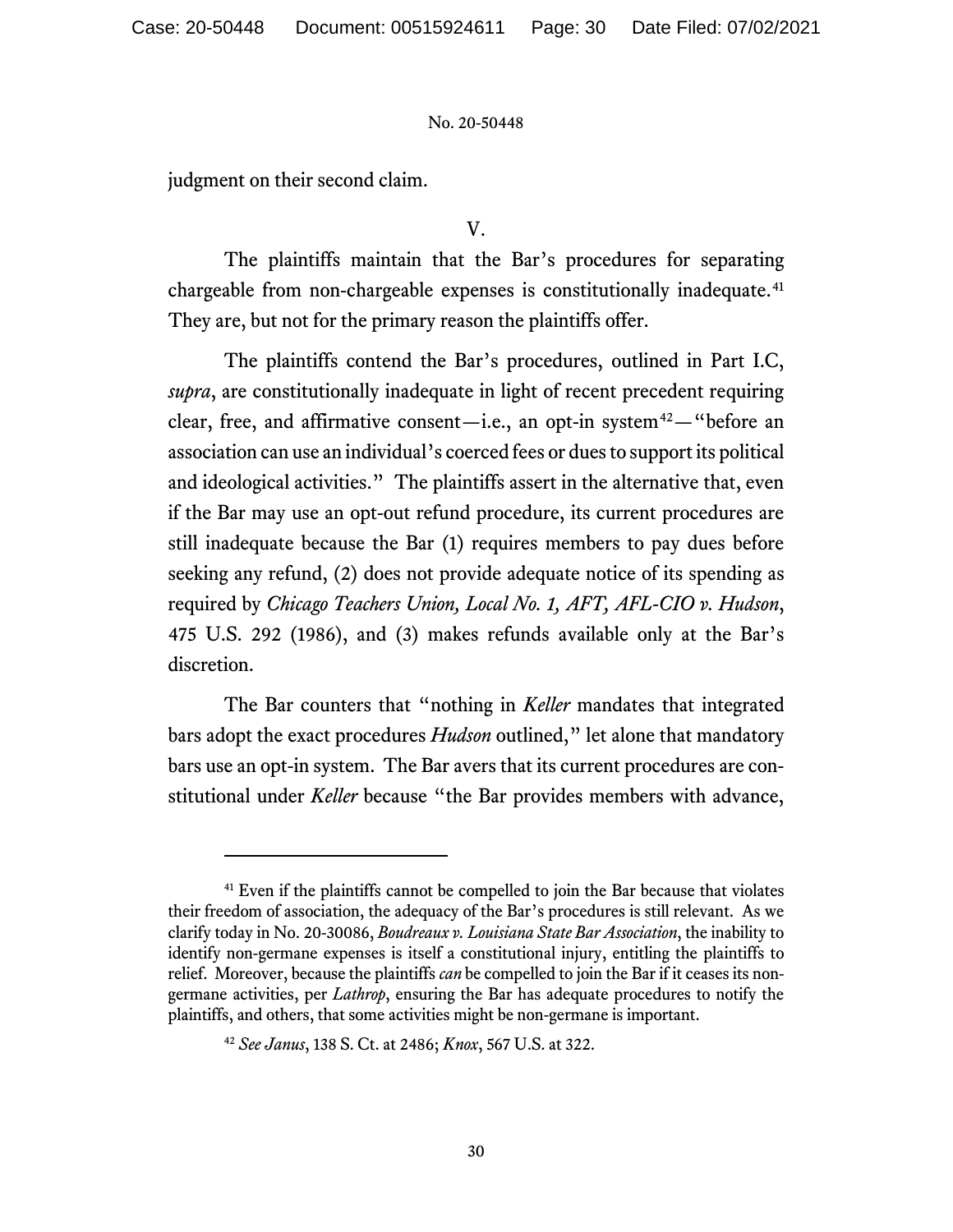judgment on their second claim.

V.

The plaintiffs maintain that the Bar's procedures for separating chargeable from non-chargeable expenses is constitutionally inadequate.<sup>[41](#page-32-0)</sup> They are, but not for the primary reason the plaintiffs offer.

The plaintiffs contend the Bar's procedures, outlined in Part I.C, *supra*, are constitutionally inadequate in light of recent precedent requiring clear, free, and affirmative consent—i.e., an opt-in system<sup>42</sup>— "before an association can use an individual's coerced fees or dues to support its political and ideological activities." The plaintiffs assert in the alternative that, even if the Bar may use an opt-out refund procedure, its current procedures are still inadequate because the Bar (1) requires members to pay dues before seeking any refund, (2) does not provide adequate notice of its spending as required by *Chicago Teachers Union, Local No. 1, AFT, AFL-CIO v. Hudson*, 475 U.S. 292 (1986), and (3) makes refunds available only at the Bar's discretion.

The Bar counters that "nothing in *Keller* mandates that integrated bars adopt the exact procedures *Hudson* outlined," let alone that mandatory bars use an opt-in system. The Bar avers that its current procedures are constitutional under *Keller* because "the Bar provides members with advance,

<sup>&</sup>lt;sup>41</sup> Even if the plaintiffs cannot be compelled to join the Bar because that violates their freedom of association, the adequacy of the Bar's procedures is still relevant. As we clarify today in No. 20-30086, *Boudreaux v. Louisiana State Bar Association*, the inability to identify non-germane expenses is itself a constitutional injury, entitling the plaintiffs to relief. Moreover, because the plaintiffs *can* be compelled to join the Bar if it ceases its nongermane activities, per *Lathrop*, ensuring the Bar has adequate procedures to notify the plaintiffs, and others, that some activities might be non-germane is important.

<sup>42</sup> *See Janus*, 138 S. Ct. at 2486; *Knox*, 567 U.S. at 322.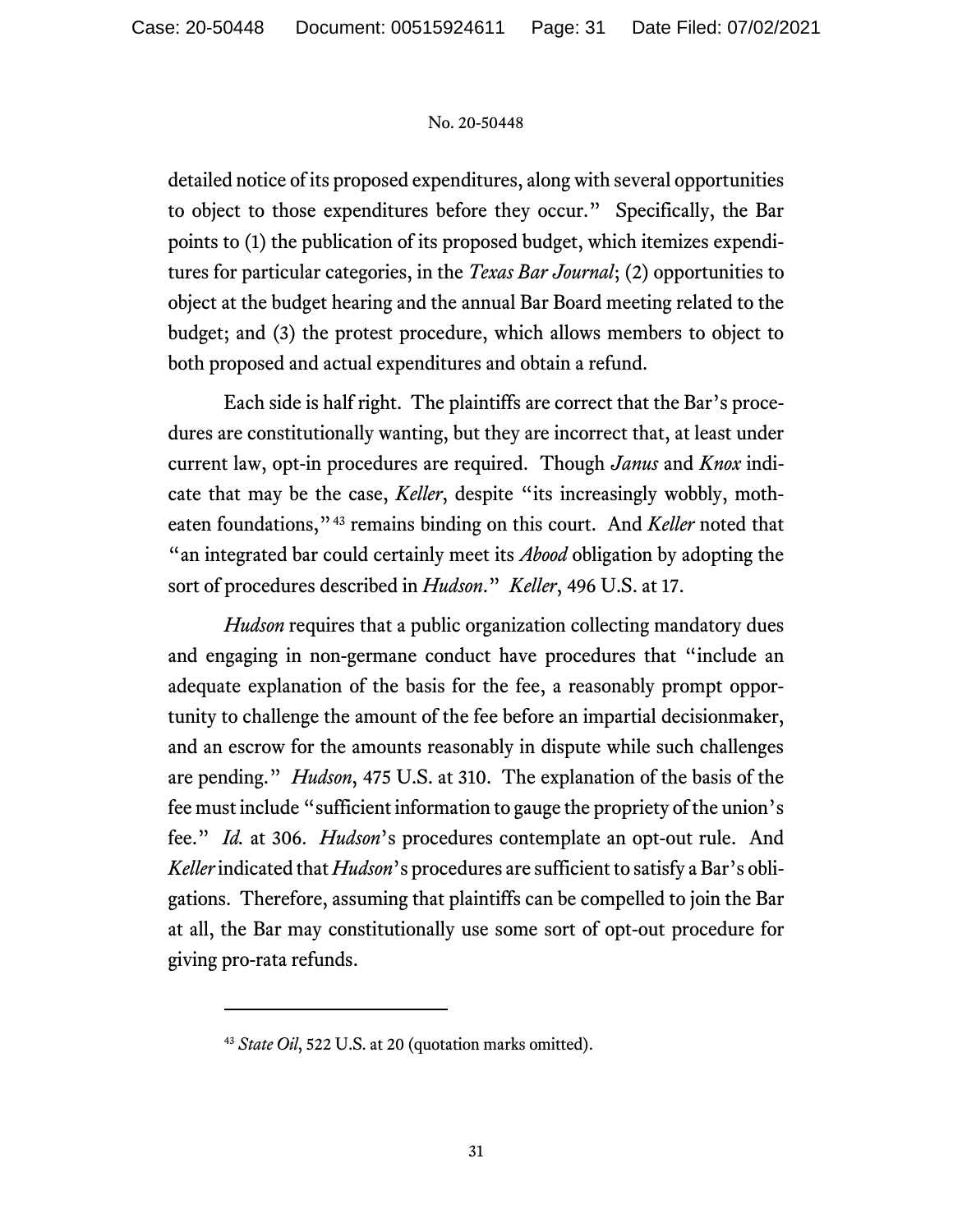detailed notice of its proposed expenditures, along with several opportunities to object to those expenditures before they occur." Specifically, the Bar points to (1) the publication of its proposed budget, which itemizes expenditures for particular categories, in the *Texas Bar Journal*; (2) opportunities to object at the budget hearing and the annual Bar Board meeting related to the budget; and (3) the protest procedure, which allows members to object to both proposed and actual expenditures and obtain a refund.

Each side is half right. The plaintiffs are correct that the Bar's procedures are constitutionally wanting, but they are incorrect that, at least under current law, opt-in procedures are required. Though *Janus* and *Knox* indicate that may be the case, *Keller*, despite "its increasingly wobbly, motheaten foundations,"[43](#page-32-0) remains binding on this court. And *Keller* noted that "an integrated bar could certainly meet its *Abood* obligation by adopting the sort of procedures described in *Hudson*." *Keller*, 496 U.S. at 17.

*Hudson* requires that a public organization collecting mandatory dues and engaging in non-germane conduct have procedures that "include an adequate explanation of the basis for the fee, a reasonably prompt opportunity to challenge the amount of the fee before an impartial decisionmaker, and an escrow for the amounts reasonably in dispute while such challenges are pending." *Hudson*, 475 U.S. at 310. The explanation of the basis of the fee must include "sufficient information to gauge the propriety of the union's fee." *Id.* at 306. *Hudson*'s procedures contemplate an opt-out rule. And *Keller* indicated that *Hudson*'s procedures are sufficient to satisfy a Bar's obligations. Therefore, assuming that plaintiffs can be compelled to join the Bar at all, the Bar may constitutionally use some sort of opt-out procedure for giving pro-rata refunds.

<sup>&</sup>lt;sup>43</sup> *State Oil*, 522 U.S. at 20 (quotation marks omitted).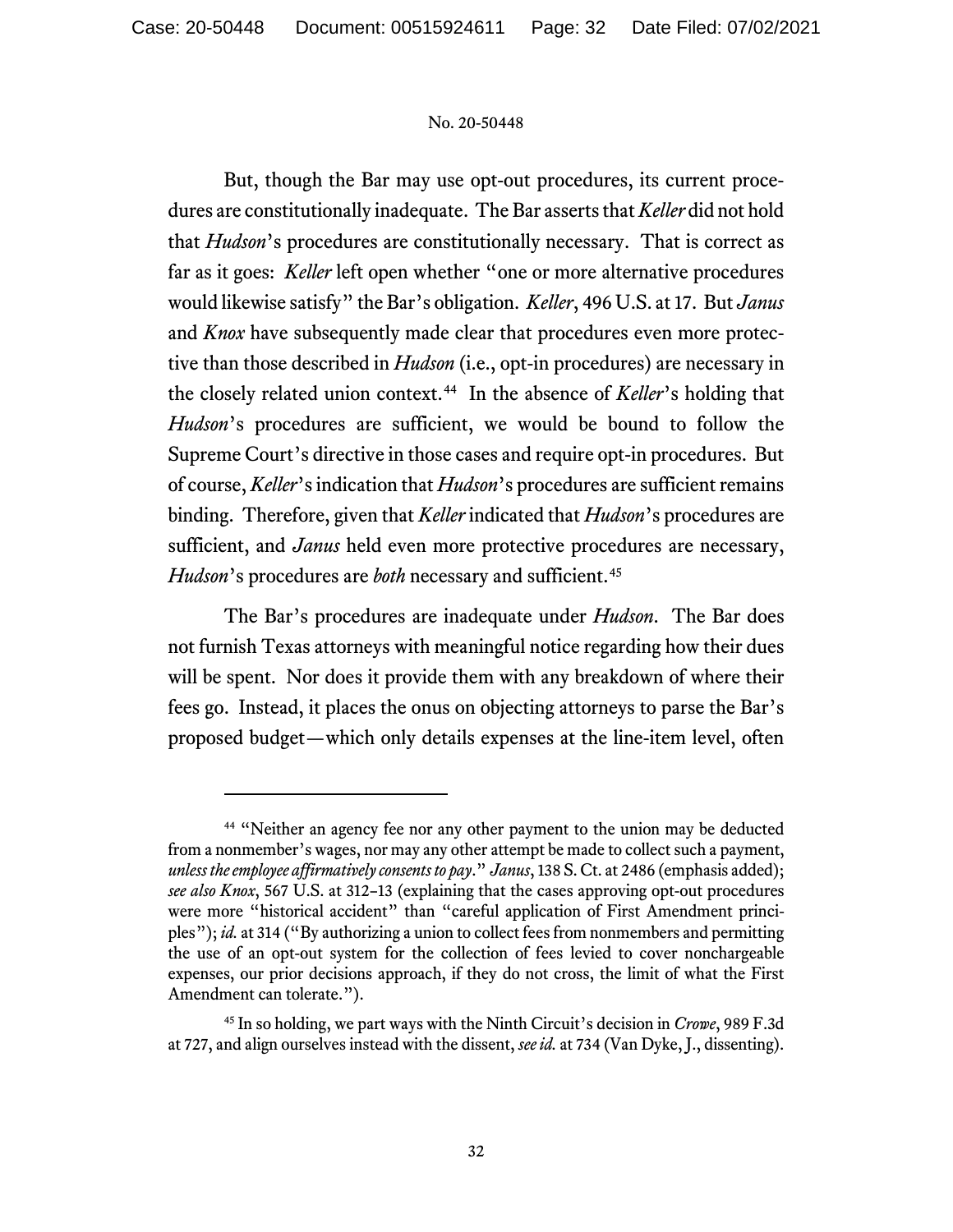But, though the Bar may use opt-out procedures, its current procedures are constitutionally inadequate. The Bar asserts that *Keller* did not hold that *Hudson*'s procedures are constitutionally necessary. That is correct as far as it goes: *Keller* left open whether "one or more alternative procedures would likewise satisfy" the Bar's obligation. *Keller*, 496 U.S. at 17. But *Janus*  and *Knox* have subsequently made clear that procedures even more protective than those described in *Hudson* (i.e., opt-in procedures) are necessary in the closely related union context.<sup>44</sup> In the absence of *Keller*'s holding that *Hudson*'s procedures are sufficient, we would be bound to follow the Supreme Court's directive in those cases and require opt-in procedures. But of course, *Keller*'s indication that *Hudson*'s procedures are sufficient remains binding. Therefore, given that *Keller* indicated that *Hudson*'s procedures are sufficient, and *Janus* held even more protective procedures are necessary, *Hudson*'s procedures are *both* necessary and sufficient. [45](#page-32-0)

The Bar's procedures are inadequate under *Hudson*. The Bar does not furnish Texas attorneys with meaningful notice regarding how their dues will be spent. Nor does it provide them with any breakdown of where their fees go. Instead, it places the onus on objecting attorneys to parse the Bar's proposed budget—which only details expenses at the line-item level, often

<sup>&</sup>lt;sup>44</sup> "Neither an agency fee nor any other payment to the union may be deducted from a nonmember's wages, nor may any other attempt be made to collect such a payment, *unless the employee affirmatively consents to pay*." *Janus*, 138 S. Ct. at 2486 (emphasis added); *see also Knox*, 567 U.S. at 312–13 (explaining that the cases approving opt-out procedures were more "historical accident" than "careful application of First Amendment principles"); *id.* at 314 ("By authorizing a union to collect fees from nonmembers and permitting the use of an opt-out system for the collection of fees levied to cover nonchargeable expenses, our prior decisions approach, if they do not cross, the limit of what the First Amendment can tolerate.").

<sup>45</sup> In so holding, we part ways with the Ninth Circuit's decision in *Crowe*, 989 F.3d at 727, and align ourselves instead with the dissent, *see id.* at 734 (Van Dyke, J., dissenting).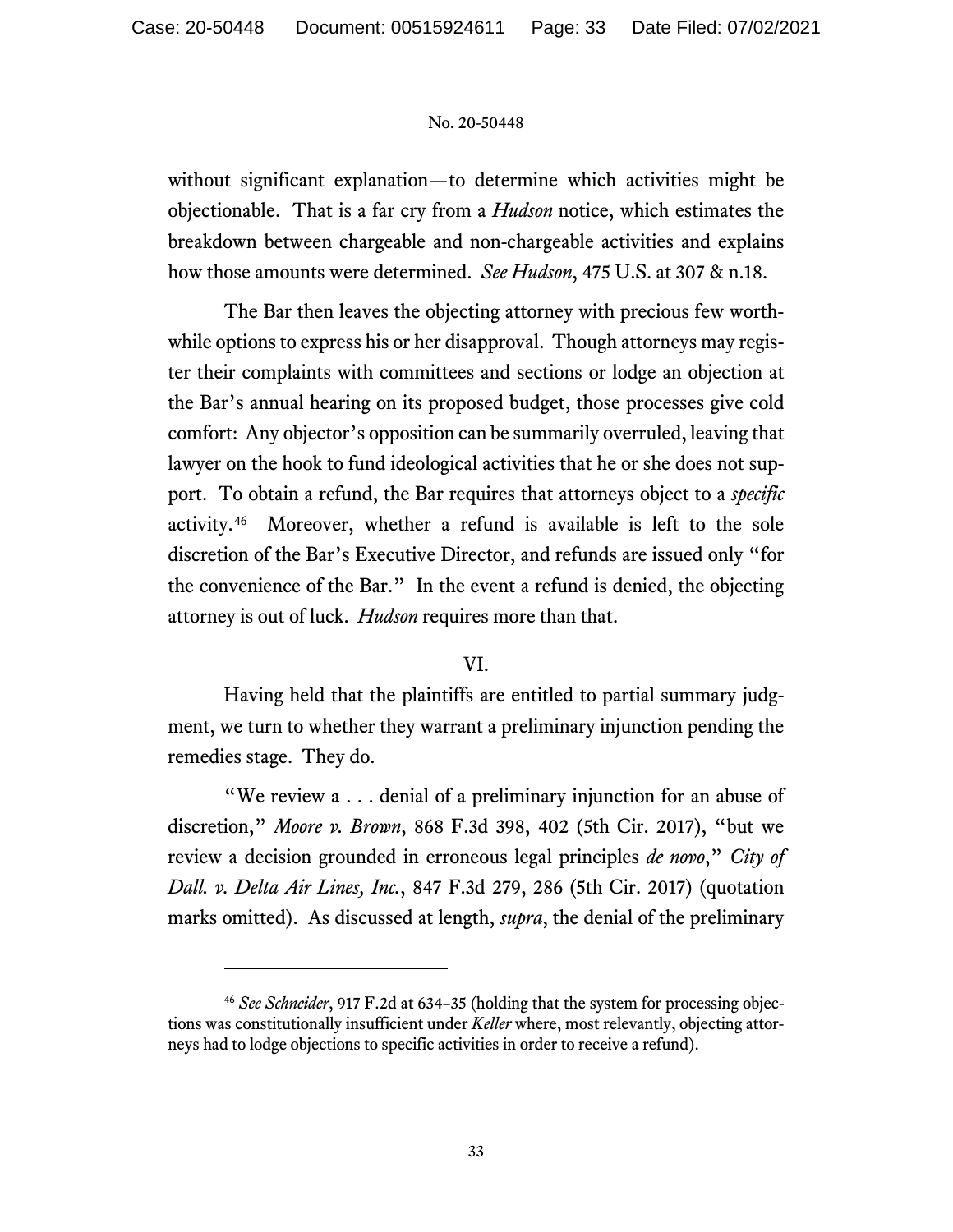without significant explanation—to determine which activities might be objectionable. That is a far cry from a *Hudson* notice, which estimates the breakdown between chargeable and non-chargeable activities and explains how those amounts were determined. *See Hudson*, 475 U.S. at 307 & n.18.

The Bar then leaves the objecting attorney with precious few worthwhile options to express his or her disapproval. Though attorneys may register their complaints with committees and sections or lodge an objection at the Bar's annual hearing on its proposed budget, those processes give cold comfort: Any objector's opposition can be summarily overruled, leaving that lawyer on the hook to fund ideological activities that he or she does not support. To obtain a refund, the Bar requires that attorneys object to a *specific*  activity. [46](#page-32-0) Moreover, whether a refund is available is left to the sole discretion of the Bar's Executive Director, and refunds are issued only "for the convenience of the Bar." In the event a refund is denied, the objecting attorney is out of luck. *Hudson* requires more than that.

# VI.

Having held that the plaintiffs are entitled to partial summary judgment, we turn to whether they warrant a preliminary injunction pending the remedies stage. They do.

"We review a . . . denial of a preliminary injunction for an abuse of discretion," *Moore v. Brown*, 868 F.3d 398, 402 (5th Cir. 2017), "but we review a decision grounded in erroneous legal principles *de novo*," *City of Dall. v. Delta Air Lines, Inc.*, 847 F.3d 279, 286 (5th Cir. 2017) (quotation marks omitted). As discussed at length, *supra*, the denial of the preliminary

<span id="page-32-0"></span><sup>46</sup> *See Schneider*, 917 F.2d at 634–35 (holding that the system for processing objections was constitutionally insufficient under *Keller* where, most relevantly, objecting attorneys had to lodge objections to specific activities in order to receive a refund).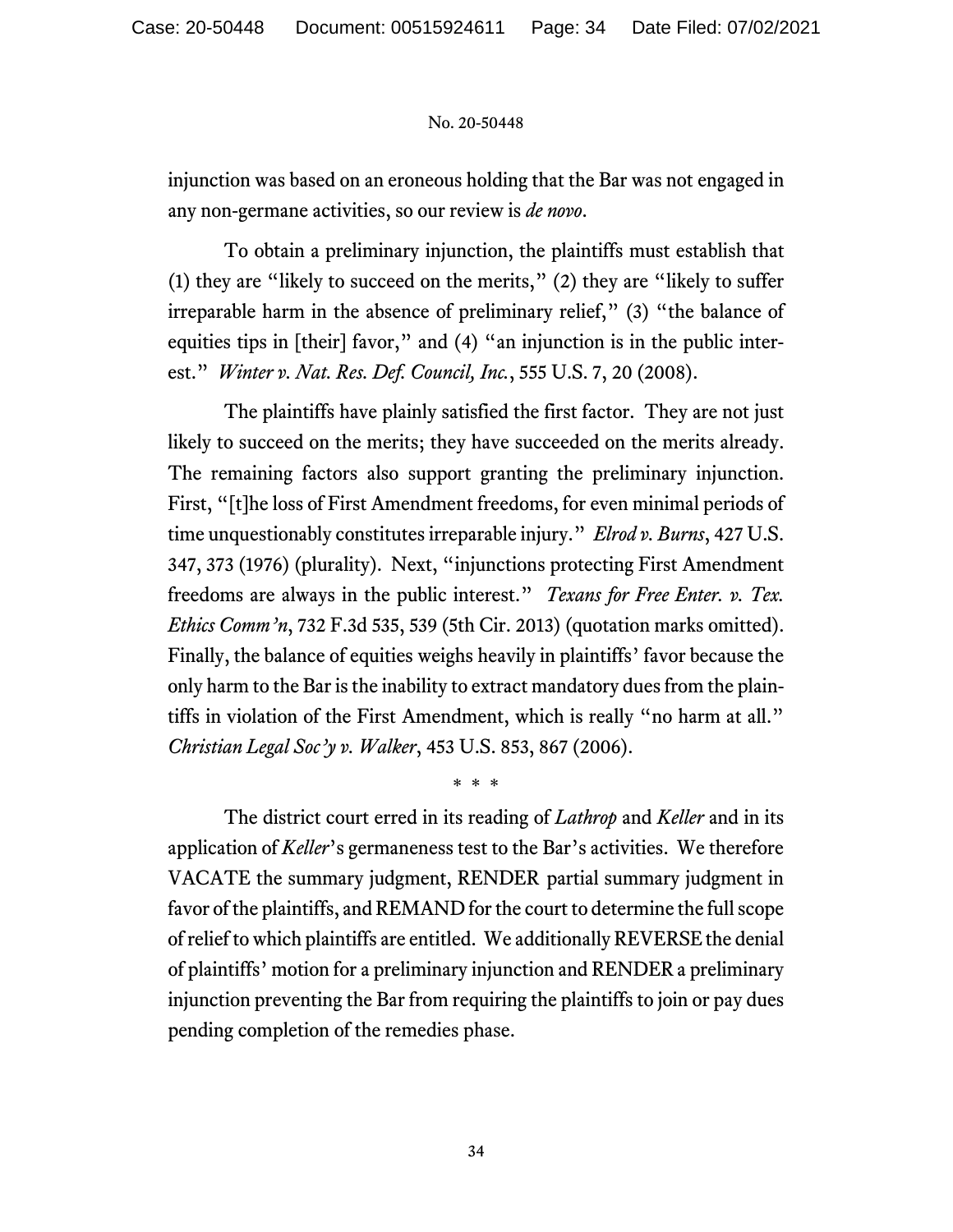injunction was based on an eroneous holding that the Bar was not engaged in any non-germane activities, so our review is *de novo*.

To obtain a preliminary injunction, the plaintiffs must establish that (1) they are "likely to succeed on the merits,"  $(2)$  they are "likely to suffer irreparable harm in the absence of preliminary relief," (3) "the balance of equities tips in [their] favor," and (4) "an injunction is in the public interest." *Winter v. Nat. Res. Def. Council, Inc.*, 555 U.S. 7, 20 (2008).

The plaintiffs have plainly satisfied the first factor. They are not just likely to succeed on the merits; they have succeeded on the merits already. The remaining factors also support granting the preliminary injunction. First, "[t]he loss of First Amendment freedoms, for even minimal periods of time unquestionably constitutes irreparable injury." *Elrod v. Burns*, 427 U.S. 347, 373 (1976) (plurality). Next, "injunctions protecting First Amendment freedoms are always in the public interest." *Texans for Free Enter. v. Tex. Ethics Comm'n*, 732 F.3d 535, 539 (5th Cir. 2013) (quotation marks omitted). Finally, the balance of equities weighs heavily in plaintiffs' favor because the only harm to the Bar is the inability to extract mandatory dues from the plaintiffs in violation of the First Amendment, which is really "no harm at all." *Christian Legal Soc'y v. Walker*, 453 U.S. 853, 867 (2006).

\* \* \* The district court erred in its reading of *Lathrop* and *Keller* and in its application of *Keller*'s germaneness test to the Bar's activities. We therefore VACATE the summary judgment, RENDER partial summary judgment in favor of the plaintiffs, and REMAND for the court to determine the full scope of relief to which plaintiffs are entitled. We additionally REVERSE the denial of plaintiffs' motion for a preliminary injunction and RENDER a preliminary injunction preventing the Bar from requiring the plaintiffs to join or pay dues pending completion of the remedies phase.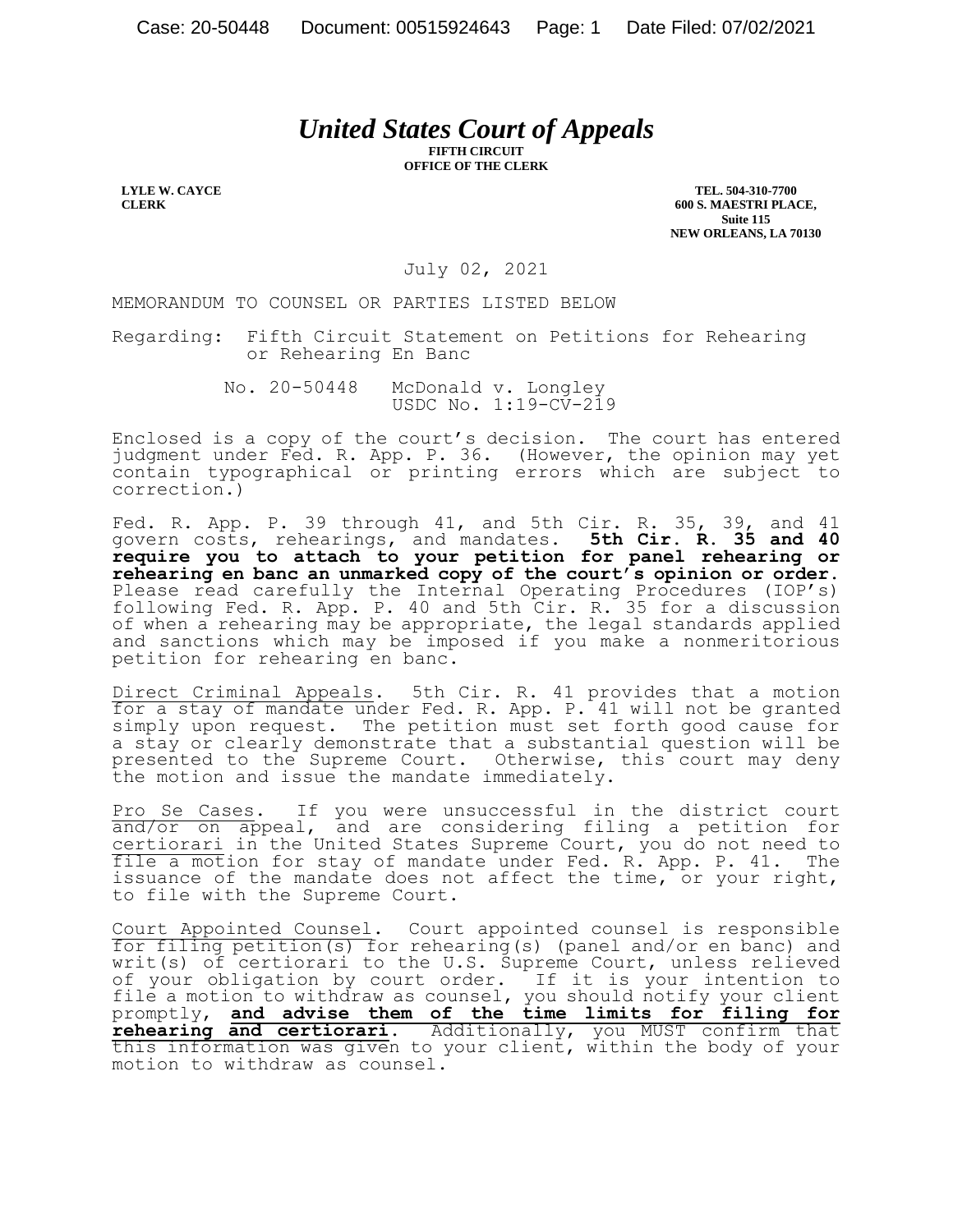# *United States Court of Appeals*

**FIFTH CIRCUIT OFFICE OF THE CLERK**

**LYLE W. CAYCE CLERK**

**TEL. 504-310-7700 600 S. MAESTRI PLACE, Suite 115 NEW ORLEANS, LA 70130**

July 02, 2021

MEMORANDUM TO COUNSEL OR PARTIES LISTED BELOW

Regarding: Fifth Circuit Statement on Petitions for Rehearing or Rehearing En Banc

> No. 20-50448 McDonald v. Longley USDC No. 1:19-CV-219

Enclosed is a copy of the court's decision. The court has entered judgment under Fed. R. App. P. 36. (However, the opinion may yet contain typographical or printing errors which are subject to correction.)

Fed. R. App. P. 39 through 41, and 5th Cir. R. 35, 39, and 41 govern costs, rehearings, and mandates. **5th Cir. R. 35 and 40 require you to attach to your petition for panel rehearing or rehearing en banc an unmarked copy of the court's opinion or order.** Please read carefully the Internal Operating Procedures (IOP's) following Fed. R. App. P. 40 and 5th Cir. R. 35 for a discussion of when a rehearing may be appropriate, the legal standards applied and sanctions which may be imposed if you make a nonmeritorious petition for rehearing en banc.

Direct Criminal Appeals. 5th Cir. R. 41 provides that a motion for a stay of mandate under Fed. R. App. P. 41 will not be granted simply upon request. The petition must set forth good cause for a stay or clearly demonstrate that a substantial question will be presented to the Supreme Court. Otherwise, this court may deny the motion and issue the mandate immediately.

Pro Se Cases. If you were unsuccessful in the district court and/or on appeal, and are considering filing a petition for certiorari in the United States Supreme Court, you do not need to file a motion for stay of mandate under Fed. R. App. P. 41. The issuance of the mandate does not affect the time, or your right, to file with the Supreme Court.

Court Appointed Counsel. Court appointed counsel is responsible for filing petition(s) for rehearing(s) (panel and/or en banc) and writ(s) of certiorari to the U.S. Supreme Court, unless relieved of your obligation by court order. If it is your intention to file a motion to withdraw as counsel, you should notify your client promptly, **and advise them of the time limits for filing for rehearing and certiorari**. Additionally, you MUST confirm that this information was given to your client, within the body of your motion to withdraw as counsel.